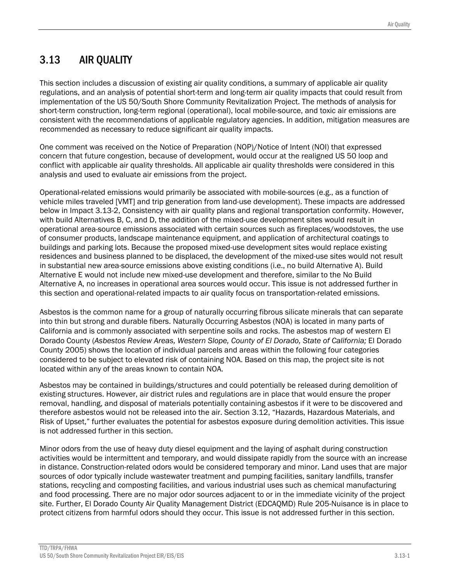# 3.13 AIR QUALITY

This section includes a discussion of existing air quality conditions, a summary of applicable air quality regulations, and an analysis of potential short-term and long-term air quality impacts that could result from implementation of the US 50/South Shore Community Revitalization Project. The methods of analysis for short-term construction, long-term regional (operational), local mobile-source, and toxic air emissions are consistent with the recommendations of applicable regulatory agencies. In addition, mitigation measures are recommended as necessary to reduce significant air quality impacts.

One comment was received on the Notice of Preparation (NOP)/Notice of Intent (NOI) that expressed concern that future congestion, because of development, would occur at the realigned US 50 loop and conflict with applicable air quality thresholds. All applicable air quality thresholds were considered in this analysis and used to evaluate air emissions from the project.

Operational-related emissions would primarily be associated with mobile-sources (e.g., as a function of vehicle miles traveled [VMT] and trip generation from land-use development). These impacts are addressed below in Impact 3.13-2, Consistency with air quality plans and regional transportation conformity. However, with build Alternatives B, C, and D, the addition of the mixed-use development sites would result in operational area-source emissions associated with certain sources such as fireplaces/woodstoves, the use of consumer products, landscape maintenance equipment, and application of architectural coatings to buildings and parking lots. Because the proposed mixed-use development sites would replace existing residences and business planned to be displaced, the development of the mixed-use sites would not result in substantial new area-source emissions above existing conditions (i.e., no build Alternative A). Build Alternative E would not include new mixed-use development and therefore, similar to the No Build Alternative A, no increases in operational area sources would occur. This issue is not addressed further in this section and operational-related impacts to air quality focus on transportation-related emissions.

Asbestos is the common name for a group of naturally occurring fibrous silicate minerals that can separate into thin but strong and durable fibers. Naturally Occurring Asbestos (NOA) is located in many parts of California and is commonly associated with serpentine soils and rocks. The asbestos map of western El Dorado County (*Asbestos Review Areas, Western Slope, County of El Dorado, State of California;* El Dorado County 2005) shows the location of individual parcels and areas within the following four categories considered to be subject to elevated risk of containing NOA. Based on this map, the project site is not located within any of the areas known to contain NOA.

Asbestos may be contained in buildings/structures and could potentially be released during demolition of existing structures. However, air district rules and regulations are in place that would ensure the proper removal, handling, and disposal of materials potentially containing asbestos if it were to be discovered and therefore asbestos would not be released into the air. Section 3.12, "Hazards, Hazardous Materials, and Risk of Upset," further evaluates the potential for asbestos exposure during demolition activities. This issue is not addressed further in this section.

Minor odors from the use of heavy duty diesel equipment and the laying of asphalt during construction activities would be intermittent and temporary, and would dissipate rapidly from the source with an increase in distance. Construction-related odors would be considered temporary and minor. Land uses that are major sources of odor typically include wastewater treatment and pumping facilities, sanitary landfills, transfer stations, recycling and composting facilities, and various industrial uses such as chemical manufacturing and food processing. There are no major odor sources adjacent to or in the immediate vicinity of the project site. Further, El Dorado County Air Quality Management District (EDCAQMD) Rule 205-Nuisance is in place to protect citizens from harmful odors should they occur. This issue is not addressed further in this section.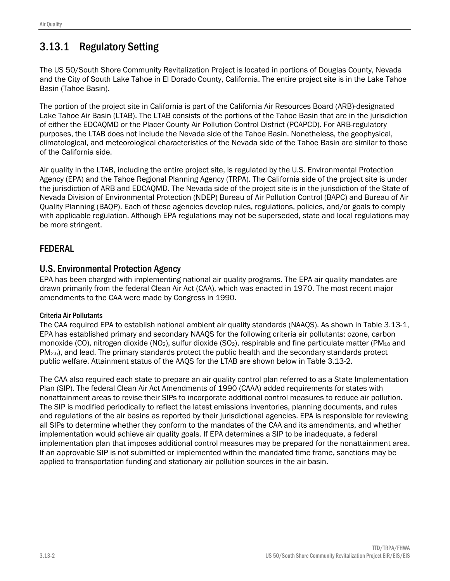# 3.13.1 Regulatory Setting

The US 50/South Shore Community Revitalization Project is located in portions of Douglas County, Nevada and the City of South Lake Tahoe in El Dorado County, California. The entire project site is in the Lake Tahoe Basin (Tahoe Basin).

The portion of the project site in California is part of the California Air Resources Board (ARB)-designated Lake Tahoe Air Basin (LTAB). The LTAB consists of the portions of the Tahoe Basin that are in the jurisdiction of either the EDCAQMD or the Placer County Air Pollution Control District (PCAPCD). For ARB-regulatory purposes, the LTAB does not include the Nevada side of the Tahoe Basin. Nonetheless, the geophysical, climatological, and meteorological characteristics of the Nevada side of the Tahoe Basin are similar to those of the California side.

Air quality in the LTAB, including the entire project site, is regulated by the U.S. Environmental Protection Agency (EPA) and the Tahoe Regional Planning Agency (TRPA). The California side of the project site is under the jurisdiction of ARB and EDCAQMD. The Nevada side of the project site is in the jurisdiction of the State of Nevada Division of Environmental Protection (NDEP) Bureau of Air Pollution Control (BAPC) and Bureau of Air Quality Planning (BAQP). Each of these agencies develop rules, regulations, policies, and/or goals to comply with applicable regulation. Although EPA regulations may not be superseded, state and local regulations may be more stringent.

# FEDERAL

# U.S. Environmental Protection Agency

EPA has been charged with implementing national air quality programs. The EPA air quality mandates are drawn primarily from the federal Clean Air Act (CAA), which was enacted in 1970. The most recent major amendments to the CAA were made by Congress in 1990.

### Criteria Air Pollutants

The CAA required EPA to establish national ambient air quality standards (NAAQS). As shown in Table 3.13-1, EPA has established primary and secondary NAAQS for the following criteria air pollutants: ozone, carbon monoxide (CO), nitrogen dioxide (NO<sub>2</sub>), sulfur dioxide (SO<sub>2</sub>), respirable and fine particulate matter (PM<sub>10</sub> and PM2.5), and lead. The primary standards protect the public health and the secondary standards protect public welfare. Attainment status of the AAQS for the LTAB are shown below in Table 3.13-2.

The CAA also required each state to prepare an air quality control plan referred to as a State Implementation Plan (SIP). The federal Clean Air Act Amendments of 1990 (CAAA) added requirements for states with nonattainment areas to revise their SIPs to incorporate additional control measures to reduce air pollution. The SIP is modified periodically to reflect the latest emissions inventories, planning documents, and rules and regulations of the air basins as reported by their jurisdictional agencies. EPA is responsible for reviewing all SIPs to determine whether they conform to the mandates of the CAA and its amendments, and whether implementation would achieve air quality goals. If EPA determines a SIP to be inadequate, a federal implementation plan that imposes additional control measures may be prepared for the nonattainment area. If an approvable SIP is not submitted or implemented within the mandated time frame, sanctions may be applied to transportation funding and stationary air pollution sources in the air basin.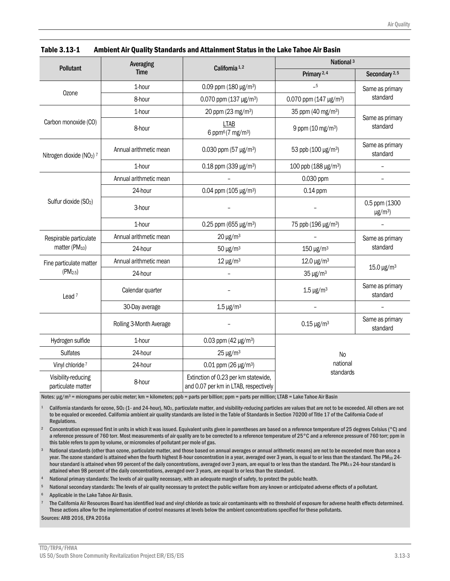| <b>Pollutant</b>                          | Averaging               | California <sup>1,2</sup>                                                     | National <sup>3</sup>              |                                           |  |  |
|-------------------------------------------|-------------------------|-------------------------------------------------------------------------------|------------------------------------|-------------------------------------------|--|--|
|                                           | <b>Time</b>             |                                                                               | Primary <sup>2,4</sup>             | Secondary <sup>2,5</sup>                  |  |  |
|                                           | 1-hour                  | 0.09 ppm $(180 \,\mathrm{\upmu g/m^3})$                                       | $-5$                               | Same as primary<br>standard               |  |  |
| Ozone                                     | 8-hour                  | 0.070 ppm (137 µg/m <sup>3</sup> )                                            | 0.070 ppm (147 µg/m <sup>3</sup> ) |                                           |  |  |
|                                           | 1-hour                  | 20 ppm (23 mg/m <sup>3</sup> )                                                | 35 ppm (40 mg/m <sup>3</sup> )     |                                           |  |  |
| Carbon monoxide (CO)                      | 8-hour                  | <b>LTAB</b><br>6 ppm $6(7 \text{ mg/m}^3)$                                    | 9 ppm (10 mg/m <sup>3</sup> )      | Same as primary<br>standard               |  |  |
| Nitrogen dioxide (NO <sub>2</sub> ) 7     | Annual arithmetic mean  | 0.030 ppm (57 $\mu$ g/m <sup>3</sup> )                                        | 53 ppb (100 µg/m <sup>3</sup> )    | Same as primary<br>standard               |  |  |
|                                           | 1-hour                  | 0.18 ppm (339 $\mu$ g/m <sup>3</sup> )                                        | 100 ppb (188 µg/m <sup>3</sup> )   | $\overline{\phantom{0}}$                  |  |  |
|                                           | Annual arithmetic mean  |                                                                               | 0.030 ppm                          |                                           |  |  |
|                                           | 24-hour                 | 0.04 ppm (105 $\mu$ g/m <sup>3</sup> )                                        | 0.14 ppm                           |                                           |  |  |
| Sulfur dioxide (SO <sub>2</sub> )         | 3-hour                  |                                                                               |                                    | 0.5 ppm (1300<br>$\mu$ g/m <sup>3</sup> ) |  |  |
|                                           | 1-hour                  | 0.25 ppm (655 µg/m <sup>3</sup> )                                             | 75 ppb (196 µg/m <sup>3</sup> )    |                                           |  |  |
| Respirable particulate                    | Annual arithmetic mean  | $20 \mu g/m^3$                                                                |                                    | Same as primary<br>standard               |  |  |
| matter (PM <sub>10</sub> )                | 24-hour                 | $50 \mu g/m^3$                                                                | $150 \,\mathrm{\upmu g/m^3}$       |                                           |  |  |
| Fine particulate matter                   | Annual arithmetic mean  | $12 \mu g/m^3$                                                                | 12.0 µg/m <sup>3</sup>             |                                           |  |  |
| $(PM_{2.5})$                              | 24-hour                 |                                                                               | $35 \mu g/m^3$                     | $15.0 \,\mathrm{\upmu g/m^3}$             |  |  |
| Lead $7$                                  | Calendar quarter        |                                                                               | $1.5 \,\mathrm{\upmu g/m^3}$       | Same as primary<br>standard               |  |  |
|                                           | 30-Day average          | $1.5 \,\mathrm{\upmu g/m^3}$                                                  | $\overline{a}$                     | $\overline{\phantom{0}}$                  |  |  |
|                                           | Rolling 3-Month Average |                                                                               | $0.15 \,\mathrm{\upmu g/m^3}$      | Same as primary<br>standard               |  |  |
| Hydrogen sulfide                          | 1-hour                  | 0.03 ppm (42 $\mu$ g/m <sup>3</sup> )                                         |                                    |                                           |  |  |
| <b>Sulfates</b>                           | 24-hour                 | $25 \mu g/m^3$                                                                | N <sub>o</sub>                     |                                           |  |  |
| Vinyl chloride <sup>7</sup>               | 24-hour                 | $0.01$ ppm (26 µg/m <sup>3</sup> )                                            | national                           |                                           |  |  |
| Visibility-reducing<br>particulate matter | 8-hour                  | Extinction of 0.23 per km statewide,<br>and 0.07 per km in LTAB, respectively | standards                          |                                           |  |  |

| Table 3.13-1 | Ambient Air Quality Standards and Attainment Status in the Lake Tahoe Air Basin |
|--------------|---------------------------------------------------------------------------------|
|--------------|---------------------------------------------------------------------------------|

Notes:  $\mu$ g/m<sup>3</sup> = micrograms per cubic meter; km = kilometers; ppb = parts per billion; ppm = parts per million; LTAB = Lake Tahoe Air Basin

1 California standards for ozone, SO2 (1- and 24-hour), NO2, particulate matter, and visibility-reducing particles are values that are not to be exceeded. All others are not to be equaled or exceeded. California ambient air quality standards are listed in the Table of Standards in Section 70200 of Title 17 of the California Code of Regulations.

2 Concentration expressed first in units in which it was issued. Equivalent units given in parentheses are based on a reference temperature of 25 degrees Celsius (°C) and a reference pressure of 760 torr. Most measurements of air quality are to be corrected to a reference temperature of 25°C and a reference pressure of 760 torr; ppm in this table refers to ppm by volume, or micromoles of pollutant per mole of gas.

National standards (other than ozone, particulate matter, and those based on annual averages or annual arithmetic means) are not to be exceeded more than once a year. The ozone standard is attained when the fourth highest 8-hour concentration in a year, averaged over 3 years, is equal to or less than the standard. The PM<sub>10</sub> 24hour standard is attained when 99 percent of the daily concentrations, averaged over 3 years, are equal to or less than the standard. The PM2.5 24-hour standard is attained when 98 percent of the daily concentrations, averaged over 3 years, are equal to or less than the standard.

National primary standards: The levels of air quality necessary, with an adequate margin of safety, to protect the public health.

National secondary standards: The levels of air quality necessary to protect the public welfare from any known or anticipated adverse effects of a pollutant.

6 Applicable in the Lake Tahoe Air Basin.

7 The California Air Resources Board has identified lead and vinyl chloride as toxic air contaminants with no threshold of exposure for adverse health effects determined. These actions allow for the implementation of control measures at levels below the ambient concentrations specified for these pollutants.

Sources: ARB 2016, EPA 2016a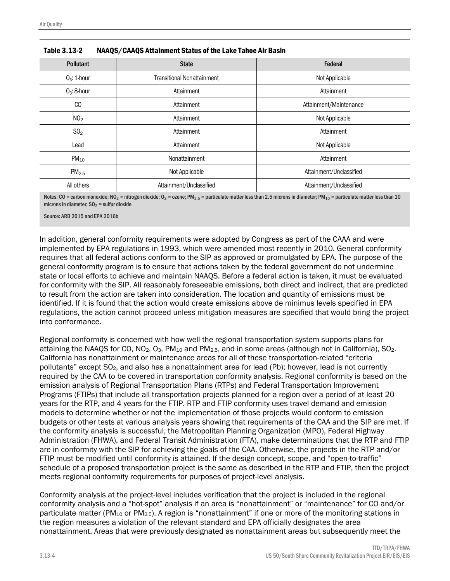| <b>Pollutant</b>  | <b>State</b>                      | Federal                 |
|-------------------|-----------------------------------|-------------------------|
| $O_3$ : 1-hour    | <b>Transitional Nonattainment</b> | Not Applicable          |
| $O_3$ : 8-hour    | Attainment                        | Attainment              |
| <sub>CO</sub>     | Attainment                        | Attainment/Maintenance  |
| NO <sub>2</sub>   | Attainment                        | Not Applicable          |
| SO <sub>2</sub>   | Attainment                        | Attainment              |
| Lead              | Attainment                        | Not Applicable          |
| $PM_{10}$         | Nonattainment                     | Attainment              |
| PM <sub>2.5</sub> | Not Applicable                    | Attainment/Unclassified |
| All others        | Attainment/Unclassified           | Attainment/Unclassified |

| Table 3.13-2 | NAAQS/CAAQS Attainment Status of the Lake Tahoe Air Basin |
|--------------|-----------------------------------------------------------|
|--------------|-----------------------------------------------------------|

Notes: CO = carbon monoxide; NO<sub>2</sub> = nitrogen dioxide; O<sub>3</sub> = ozone; PM<sub>2.5</sub> = particulate matter less than 2.5 microns in diameter; PM<sub>10</sub> = particulate matter less than 10 microns in diameter;  $SO<sub>2</sub>$  = sulfur dioxide

Source: ARB 2015 and FPA 2016b

In addition, general conformity requirements were adopted by Congress as part of the CAAA and were implemented by EPA regulations in 1993, which were amended most recently in 2010. General conformity requires that all federal actions conform to the SIP as approved or promulgated by EPA. The purpose of the general conformity program is to ensure that actions taken by the federal government do not undermine state or local efforts to achieve and maintain NAAQS. Before a federal action is taken, it must be evaluated for conformity with the SIP. All reasonably foreseeable emissions, both direct and indirect, that are predicted to result from the action are taken into consideration. The location and quantity of emissions must be identified. If it is found that the action would create emissions above de minimus levels specified in EPA regulations, the action cannot proceed unless mitigation measures are specified that would bring the project into conformance.

Regional conformity is concerned with how well the regional transportation system supports plans for attaining the NAAQS for CO, NO<sub>2</sub>, O<sub>3</sub>, PM<sub>10</sub> and PM<sub>2.5</sub>, and in some areas (although not in California), SO<sub>2</sub>. California has nonattainment or maintenance areas for all of these transportation-related "criteria pollutants" except SO2, and also has a nonattainment area for lead (Pb); however, lead is not currently required by the CAA to be covered in transportation conformity analysis. Regional conformity is based on the emission analysis of Regional Transportation Plans (RTPs) and Federal Transportation Improvement Programs (FTIPs) that include all transportation projects planned for a region over a period of at least 20 years for the RTP, and 4 years for the FTIP. RTP and FTIP conformity uses travel demand and emission models to determine whether or not the implementation of those projects would conform to emission budgets or other tests at various analysis years showing that requirements of the CAA and the SIP are met. If the conformity analysis is successful, the Metropolitan Planning Organization (MPO), Federal Highway Administration (FHWA), and Federal Transit Administration (FTA), make determinations that the RTP and FTIP are in conformity with the SIP for achieving the goals of the CAA. Otherwise, the projects in the RTP and/or FTIP must be modified until conformity is attained. If the design concept, scope, and "open-to-traffic" schedule of a proposed transportation project is the same as described in the RTP and FTIP, then the project meets regional conformity requirements for purposes of project-level analysis.

Conformity analysis at the project-level includes verification that the project is included in the regional conformity analysis and a "hot-spot" analysis if an area is "nonattainment" or "maintenance" for CO and/or particulate matter (PM<sub>10</sub> or PM<sub>2.5</sub>). A region is "nonattainment" if one or more of the monitoring stations in the region measures a violation of the relevant standard and EPA officially designates the area nonattainment. Areas that were previously designated as nonattainment areas but subsequently meet the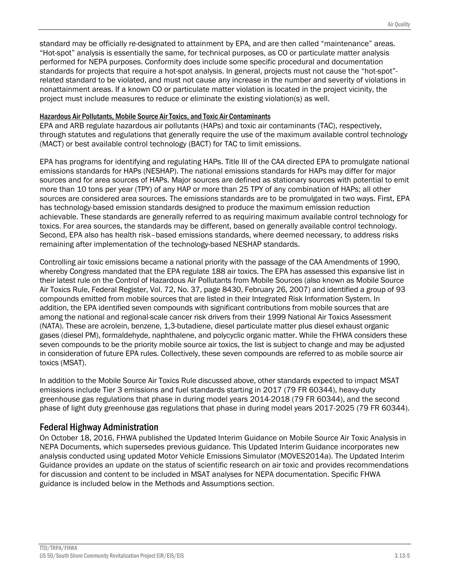standard may be officially re-designated to attainment by EPA, and are then called "maintenance" areas. "Hot-spot" analysis is essentially the same, for technical purposes, as CO or particulate matter analysis performed for NEPA purposes. Conformity does include some specific procedural and documentation standards for projects that require a hot-spot analysis. In general, projects must not cause the "hot-spot" related standard to be violated, and must not cause any increase in the number and severity of violations in nonattainment areas. If a known CO or particulate matter violation is located in the project vicinity, the project must include measures to reduce or eliminate the existing violation(s) as well.

#### Hazardous Air Pollutants, Mobile Source Air Toxics, and Toxic Air Contaminants

EPA and ARB regulate hazardous air pollutants (HAPs) and toxic air contaminants (TAC), respectively, through statutes and regulations that generally require the use of the maximum available control technology (MACT) or best available control technology (BACT) for TAC to limit emissions.

EPA has programs for identifying and regulating HAPs. Title III of the CAA directed EPA to promulgate national emissions standards for HAPs (NESHAP). The national emissions standards for HAPs may differ for major sources and for area sources of HAPs. Major sources are defined as stationary sources with potential to emit more than 10 tons per year (TPY) of any HAP or more than 25 TPY of any combination of HAPs; all other sources are considered area sources. The emissions standards are to be promulgated in two ways. First, EPA has technology-based emission standards designed to produce the maximum emission reduction achievable. These standards are generally referred to as requiring maximum available control technology for toxics. For area sources, the standards may be different, based on generally available control technology. Second, EPA also has health risk–based emissions standards, where deemed necessary, to address risks remaining after implementation of the technology-based NESHAP standards.

Controlling air toxic emissions became a national priority with the passage of the CAA Amendments of 1990, whereby Congress mandated that the EPA regulate 188 air toxics. The EPA has assessed this expansive list in their latest rule on the Control of Hazardous Air Pollutants from Mobile Sources (also known as Mobile Source Air Toxics Rule, Federal Register, Vol. 72, No. 37, page 8430, February 26, 2007) and identified a group of 93 compounds emitted from mobile sources that are listed in their Integrated Risk Information System. In addition, the EPA identified seven compounds with significant contributions from mobile sources that are among the national and regional-scale cancer risk drivers from their 1999 National Air Toxics Assessment (NATA). These are acrolein, benzene, 1,3-butadiene, diesel particulate matter plus diesel exhaust organic gases (diesel PM), formaldehyde, naphthalene, and polycyclic organic matter. While the FHWA considers these seven compounds to be the priority mobile source air toxics, the list is subject to change and may be adjusted in consideration of future EPA rules. Collectively, these seven compounds are referred to as mobile source air toxics (MSAT).

In addition to the Mobile Source Air Toxics Rule discussed above, other standards expected to impact MSAT emissions include Tier 3 emissions and fuel standards starting in 2017 (79 FR 60344), heavy-duty greenhouse gas regulations that phase in during model years 2014-2018 (79 FR 60344), and the second phase of light duty greenhouse gas regulations that phase in during model years 2017-2025 (79 FR 60344).

## Federal Highway Administration

On October 18, 2016, FHWA published the Updated Interim Guidance on Mobile Source Air Toxic Analysis in NEPA Documents, which supersedes previous guidance. This Updated Interim Guidance incorporates new analysis conducted using updated Motor Vehicle Emissions Simulator (MOVES2014a). The Updated Interim Guidance provides an update on the status of scientific research on air toxic and provides recommendations for discussion and content to be included in MSAT analyses for NEPA documentation. Specific FHWA guidance is included below in the Methods and Assumptions section.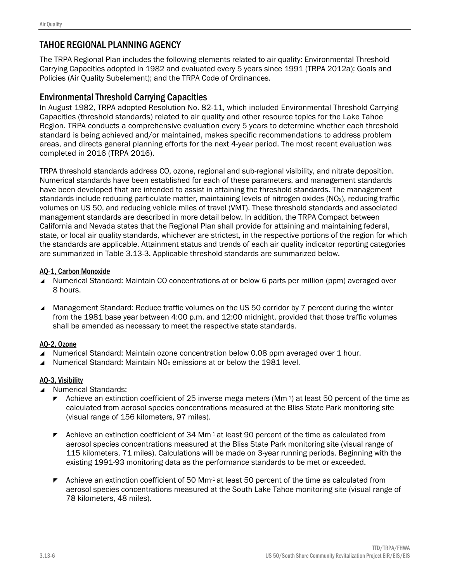# TAHOE REGIONAL PLANNING AGENCY

The TRPA Regional Plan includes the following elements related to air quality: Environmental Threshold Carrying Capacities adopted in 1982 and evaluated every 5 years since 1991 (TRPA 2012a); Goals and Policies (Air Quality Subelement); and the TRPA Code of Ordinances.

### Environmental Threshold Carrying Capacities

In August 1982, TRPA adopted Resolution No. 82-11, which included Environmental Threshold Carrying Capacities (threshold standards) related to air quality and other resource topics for the Lake Tahoe Region. TRPA conducts a comprehensive evaluation every 5 years to determine whether each threshold standard is being achieved and/or maintained, makes specific recommendations to address problem areas, and directs general planning efforts for the next 4-year period. The most recent evaluation was completed in 2016 (TRPA 2016).

TRPA threshold standards address CO, ozone, regional and sub-regional visibility, and nitrate deposition. Numerical standards have been established for each of these parameters, and management standards have been developed that are intended to assist in attaining the threshold standards. The management standards include reducing particulate matter, maintaining levels of nitrogen oxides (NO<sub>x</sub>), reducing traffic volumes on US 50, and reducing vehicle miles of travel (VMT). These threshold standards and associated management standards are described in more detail below. In addition, the TRPA Compact between California and Nevada states that the Regional Plan shall provide for attaining and maintaining federal, state, or local air quality standards, whichever are strictest, in the respective portions of the region for which the standards are applicable. Attainment status and trends of each air quality indicator reporting categories are summarized in Table 3.13-3. Applicable threshold standards are summarized below.

#### AQ-1, Carbon Monoxide

- Numerical Standard: Maintain CO concentrations at or below 6 parts per million (ppm) averaged over 8 hours.
- Management Standard: Reduce traffic volumes on the US 50 corridor by 7 percent during the winter from the 1981 base year between 4:00 p.m. and 12:00 midnight, provided that those traffic volumes shall be amended as necessary to meet the respective state standards.

#### AQ-2, Ozone

- ▲ Numerical Standard: Maintain ozone concentration below 0.08 ppm averaged over 1 hour.
- Numerical Standard: Maintain  $NO<sub>x</sub>$  emissions at or below the 1981 level.

#### AQ-3, Visibility

- ▲ Numerical Standards:
	- **EXECUTE:** Achieve an extinction coefficient of 25 inverse mega meters ( $Mm-1$ ) at least 50 percent of the time as calculated from aerosol species concentrations measured at the Bliss State Park monitoring site (visual range of 156 kilometers, 97 miles).
	- $\blacktriangleright$  Achieve an extinction coefficient of 34 Mm<sup>-1</sup> at least 90 percent of the time as calculated from aerosol species concentrations measured at the Bliss State Park monitoring site (visual range of 115 kilometers, 71 miles). Calculations will be made on 3-year running periods. Beginning with the existing 1991-93 monitoring data as the performance standards to be met or exceeded.
	- $\blacktriangleright$  Achieve an extinction coefficient of 50 Mm<sup>-1</sup> at least 50 percent of the time as calculated from aerosol species concentrations measured at the South Lake Tahoe monitoring site (visual range of 78 kilometers, 48 miles).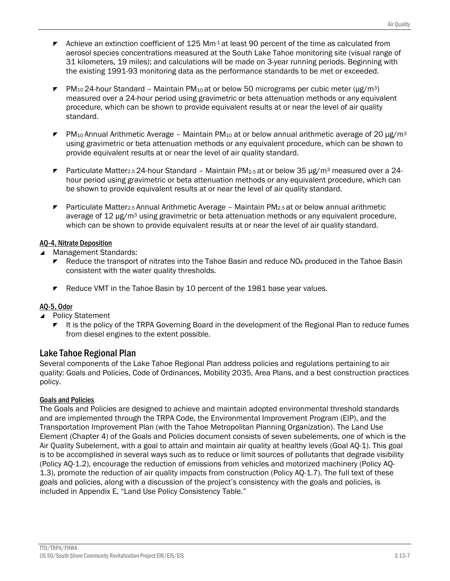- $\blacktriangleright$  Achieve an extinction coefficient of 125 Mm<sup>-1</sup> at least 90 percent of the time as calculated from aerosol species concentrations measured at the South Lake Tahoe monitoring site (visual range of 31 kilometers, 19 miles); and calculations will be made on 3-year running periods. Beginning with the existing 1991-93 monitoring data as the performance standards to be met or exceeded.
- PM<sub>10</sub> 24-hour Standard Maintain PM<sub>10</sub> at or below 50 micrograms per cubic meter ( $\mu$ g/m<sup>3</sup>) measured over a 24-hour period using gravimetric or beta attenuation methods or any equivalent procedure, which can be shown to provide equivalent results at or near the level of air quality standard.
- $\blacktriangleright$  PM<sub>10</sub> Annual Arithmetic Average Maintain PM<sub>10</sub> at or below annual arithmetic average of 20 µg/m<sup>3</sup> using gravimetric or beta attenuation methods or any equivalent procedure, which can be shown to provide equivalent results at or near the level of air quality standard.
- **Particulate Matter2.5 24-hour Standard Maintain PM2.5 at or below 35 µg/m<sup>3</sup> measured over a 24**hour period using gravimetric or beta attenuation methods or any equivalent procedure, which can be shown to provide equivalent results at or near the level of air quality standard.
- **Particulate Matter2.5 Annual Arithmetic Average Maintain PM2.5 at or below annual arithmetic** average of 12 μg/m<sup>3</sup> using gravimetric or beta attenuation methods or any equivalent procedure, which can be shown to provide equivalent results at or near the level of air quality standard.

### AQ-4, Nitrate Deposition

Management Standards:

- Reduce the transport of nitrates into the Tahoe Basin and reduce NO<sub>x</sub> produced in the Tahoe Basin consistent with the water quality thresholds.
- $\blacktriangleright$  Reduce VMT in the Tahoe Basin by 10 percent of the 1981 base year values.

### AQ-5, Odor

- Policy Statement
	- It is the policy of the TRPA Governing Board in the development of the Regional Plan to reduce fumes from diesel engines to the extent possible.

## Lake Tahoe Regional Plan

Several components of the Lake Tahoe Regional Plan address policies and regulations pertaining to air quality: Goals and Policies, Code of Ordinances, Mobility 2035, Area Plans, and a best construction practices policy.

### Goals and Policies

The Goals and Policies are designed to achieve and maintain adopted environmental threshold standards and are implemented through the TRPA Code, the Environmental Improvement Program (EIP), and the Transportation Improvement Plan (with the Tahoe Metropolitan Planning Organization). The Land Use Element (Chapter 4) of the Goals and Policies document consists of seven subelements, one of which is the Air Quality Subelement, with a goal to attain and maintain air quality at healthy levels (Goal AQ-1). This goal is to be accomplished in several ways such as to reduce or limit sources of pollutants that degrade visibility (Policy AQ-1.2), encourage the reduction of emissions from vehicles and motorized machinery (Policy AQ-1.3), promote the reduction of air quality impacts from construction (Policy AQ-1.7). The full text of these goals and policies, along with a discussion of the project's consistency with the goals and policies, is included in Appendix E, "Land Use Policy Consistency Table."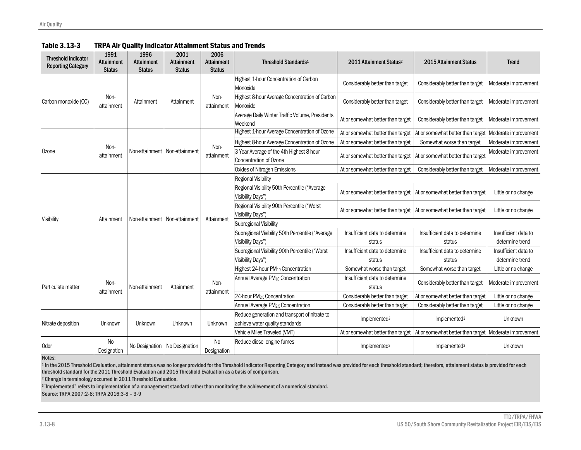| <b>Threshold Indicator</b><br><b>Reporting Category</b> | 1991<br><b>Attainment</b><br><b>Status</b> | 1996<br><b>Attainment</b><br><b>Status</b> | 2001<br><b>Attainment</b><br><b>Status</b> | 2006<br><b>Attainment</b><br><b>Status</b> | Threshold Standards <sup>1</sup>                                                 | 2011 Attainment Status <sup>2</sup>                                   | 2015 Attainment Status            | <b>Trend</b>         |
|---------------------------------------------------------|--------------------------------------------|--------------------------------------------|--------------------------------------------|--------------------------------------------|----------------------------------------------------------------------------------|-----------------------------------------------------------------------|-----------------------------------|----------------------|
|                                                         |                                            |                                            |                                            |                                            | Highest 1-hour Concentration of Carbon<br>Monoxide                               | Considerably better than target                                       | Considerably better than target   | Moderate improvement |
| Carbon monoxide (CO)                                    | Non-<br>attainment                         | Attainment                                 | Attainment                                 | Non-<br>attainment                         | Highest 8-hour Average Concentration of Carbon<br>Monoxide                       | Considerably better than target                                       | Considerably better than target   | Moderate improvement |
|                                                         |                                            |                                            |                                            |                                            | Average Daily Winter Traffic Volume, Presidents<br>Weekend                       | At or somewhat better than target                                     | Considerably better than target   | Moderate improvement |
|                                                         |                                            |                                            |                                            |                                            | Highest 1-hour Average Concentration of Ozone                                    | At or somewhat better than target                                     | At or somewhat better than target | Moderate improvement |
|                                                         |                                            |                                            |                                            | Non-                                       | Highest 8-hour Average Concentration of Ozone                                    | At or somewhat better than target                                     | Somewhat worse than target        | Moderate improvement |
| Ozone                                                   | Non-<br>attainment                         |                                            | Non-attainment Non-attainment              | attainment                                 | 3 Year Average of the 4th Highest 8-hour<br>Concentration of Ozone               | At or somewhat better than target                                     | At or somewhat better than target | Moderate improvement |
|                                                         |                                            |                                            |                                            |                                            | Oxides of Nitrogen Emissions                                                     | At or somewhat better than target                                     | Considerably better than target   | Moderate improvement |
|                                                         |                                            |                                            |                                            |                                            | <b>Regional Visibility</b>                                                       |                                                                       |                                   |                      |
|                                                         |                                            |                                            |                                            |                                            | Regional Visibility 50th Percentile ("Average<br>Visibility Days")               | At or somewhat better than target                                     | At or somewhat better than target | Little or no change  |
|                                                         |                                            |                                            |                                            |                                            | Regional Visibility 90th Percentile ("Worst<br>Visibility Days")                 | At or somewhat better than target   At or somewhat better than target |                                   | Little or no change  |
| Visibility                                              | Attainment                                 |                                            | Non-attainment   Non-attainment            | Attainment                                 | <b>Subregional Visibility</b>                                                    |                                                                       |                                   |                      |
|                                                         |                                            |                                            |                                            |                                            | Subregional Visibility 50th Percentile ("Average                                 | Insufficient data to determine                                        | Insufficient data to determine    | Insufficient data to |
|                                                         |                                            |                                            |                                            |                                            | Visibility Days")                                                                | status                                                                | status                            | determine trend      |
|                                                         |                                            |                                            |                                            |                                            | Subregional Visibility 90th Percentile ("Worst                                   | Insufficient data to determine                                        | Insufficient data to determine    | Insufficient data to |
|                                                         |                                            |                                            |                                            |                                            | Visibility Days")                                                                | status                                                                | status                            | determine trend      |
|                                                         |                                            |                                            |                                            |                                            | Highest 24-hour PM <sub>10</sub> Concentration                                   | Somewhat worse than target                                            | Somewhat worse than target        | Little or no change  |
| Particulate matter                                      | Non-<br>attainment                         | Non-attainment                             | Attainment                                 | Non-<br>attainment                         | Annual Average PM <sub>10</sub> Concentration                                    | Insufficient data to determine<br>status                              | Considerably better than target   | Moderate improvement |
|                                                         |                                            |                                            |                                            |                                            | 24-hour PM <sub>2.5</sub> Concentration                                          | Considerably better than target                                       | At or somewhat better than target | Little or no change  |
|                                                         |                                            |                                            |                                            |                                            | Annual Average PM <sub>2.5</sub> Concentration                                   | Considerably better than target                                       | Considerably better than target   | Little or no change  |
| Nitrate deposition                                      | Unknown                                    | Unknown                                    | Unknown                                    | Unknown                                    | Reduce generation and transport of nitrate to<br>achieve water quality standards | Implemented <sup>3</sup>                                              | Implemented <sup>3</sup>          | Unknown              |
|                                                         |                                            |                                            |                                            |                                            | Vehicle Miles Traveled (VMT)                                                     | At or somewhat better than target                                     | At or somewhat better than target | Moderate improvement |
| Odor                                                    | <b>No</b><br>Designation                   | No Designation                             | No Designation                             | <b>No</b><br>Designation                   | Reduce diesel engine fumes                                                       | Implemented <sup>3</sup>                                              | Implemented <sup>3</sup>          | Unknown              |

#### Table 3.13-3 TRPA Air Quality Indicator Attainment Status and Trends

Notes:

1 In the 2015 Threshold Evaluation, attainment status was no longer provided for the Threshold Indicator Reporting Category and instead was provided for each threshold standard; therefore, attainment status is provided for threshold standard for the 2011 Threshold Evaluation and 2015 Threshold Evaluation as a basis of comparison.

2 Change in terminology occurred in 2011 Threshold Evaluation.

3 "Implemented" refers to implementation of a management standard rather than monitoring the achievement of a numerical standard.

Source: TRPA 2007:2-8; TRPA 2016:3-8 – 3-9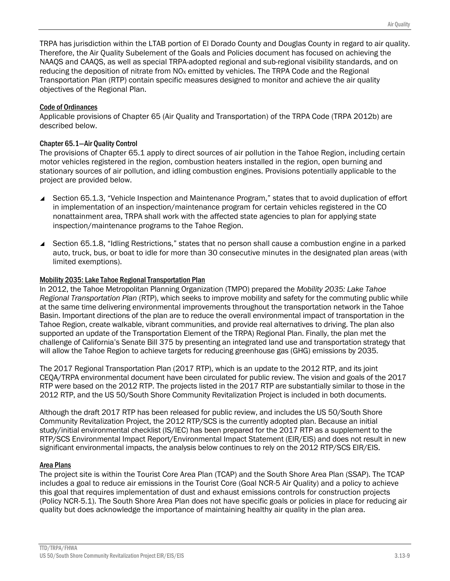TRPA has jurisdiction within the LTAB portion of El Dorado County and Douglas County in regard to air quality. Therefore, the Air Quality Subelement of the Goals and Policies document has focused on achieving the NAAQS and CAAQS, as well as special TRPA-adopted regional and sub-regional visibility standards, and on reducing the deposition of nitrate from NO<sub>x</sub> emitted by vehicles. The TRPA Code and the Regional Transportation Plan (RTP) contain specific measures designed to monitor and achieve the air quality objectives of the Regional Plan.

#### Code of Ordinances

Applicable provisions of Chapter 65 (Air Quality and Transportation) of the TRPA Code (TRPA 2012b) are described below.

#### Chapter 65.1—Air Quality Control

The provisions of Chapter 65.1 apply to direct sources of air pollution in the Tahoe Region, including certain motor vehicles registered in the region, combustion heaters installed in the region, open burning and stationary sources of air pollution, and idling combustion engines. Provisions potentially applicable to the project are provided below.

- ▲ Section 65.1.3, "Vehicle Inspection and Maintenance Program," states that to avoid duplication of effort in implementation of an inspection/maintenance program for certain vehicles registered in the CO nonattainment area, TRPA shall work with the affected state agencies to plan for applying state inspection/maintenance programs to the Tahoe Region.
- Section 65.1.8, "Idling Restrictions," states that no person shall cause a combustion engine in a parked auto, truck, bus, or boat to idle for more than 30 consecutive minutes in the designated plan areas (with limited exemptions).

#### Mobility 2035: Lake Tahoe Regional Transportation Plan

In 2012, the Tahoe Metropolitan Planning Organization (TMPO) prepared the *Mobility 2035: Lake Tahoe Regional Transportation Plan* (RTP), which seeks to improve mobility and safety for the commuting public while at the same time delivering environmental improvements throughout the transportation network in the Tahoe Basin. Important directions of the plan are to reduce the overall environmental impact of transportation in the Tahoe Region, create walkable, vibrant communities, and provide real alternatives to driving. The plan also supported an update of the Transportation Element of the TRPA) Regional Plan. Finally, the plan met the challenge of California's Senate Bill 375 by presenting an integrated land use and transportation strategy that will allow the Tahoe Region to achieve targets for reducing greenhouse gas (GHG) emissions by 2035.

The 2017 Regional Transportation Plan (2017 RTP), which is an update to the 2012 RTP, and its joint CEQA/TRPA environmental document have been circulated for public review. The vision and goals of the 2017 RTP were based on the 2012 RTP. The projects listed in the 2017 RTP are substantially similar to those in the 2012 RTP, and the US 50/South Shore Community Revitalization Project is included in both documents.

Although the draft 2017 RTP has been released for public review, and includes the US 50/South Shore Community Revitalization Project, the 2012 RTP/SCS is the currently adopted plan. Because an initial study/initial environmental checklist (IS/IEC) has been prepared for the 2017 RTP as a supplement to the RTP/SCS Environmental Impact Report/Environmental Impact Statement (EIR/EIS) and does not result in new significant environmental impacts, the analysis below continues to rely on the 2012 RTP/SCS EIR/EIS.

#### Area Plans

The project site is within the Tourist Core Area Plan (TCAP) and the South Shore Area Plan (SSAP). The TCAP includes a goal to reduce air emissions in the Tourist Core (Goal NCR-5 Air Quality) and a policy to achieve this goal that requires implementation of dust and exhaust emissions controls for construction projects (Policy NCR-5.1). The South Shore Area Plan does not have specific goals or policies in place for reducing air quality but does acknowledge the importance of maintaining healthy air quality in the plan area.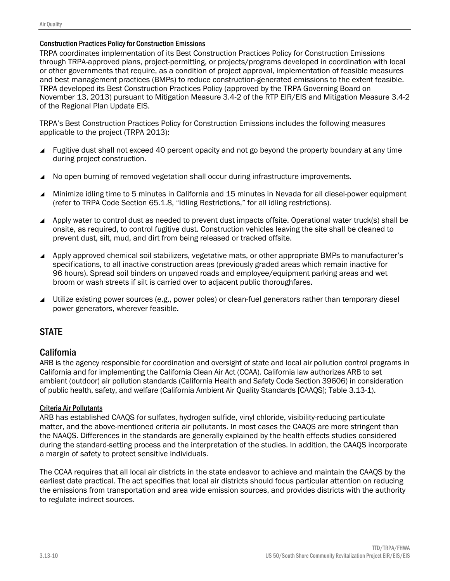#### Construction Practices Policy for Construction Emissions

TRPA coordinates implementation of its Best Construction Practices Policy for Construction Emissions through TRPA-approved plans, project-permitting, or projects/programs developed in coordination with local or other governments that require, as a condition of project approval, implementation of feasible measures and best management practices (BMPs) to reduce construction-generated emissions to the extent feasible. TRPA developed its Best Construction Practices Policy (approved by the TRPA Governing Board on November 13, 2013) pursuant to Mitigation Measure 3.4-2 of the RTP EIR/EIS and Mitigation Measure 3.4-2 of the Regional Plan Update EIS.

TRPA's Best Construction Practices Policy for Construction Emissions includes the following measures applicable to the project (TRPA 2013):

- Fugitive dust shall not exceed 40 percent opacity and not go beyond the property boundary at any time during project construction.
- No open burning of removed vegetation shall occur during infrastructure improvements.
- Minimize idling time to 5 minutes in California and 15 minutes in Nevada for all diesel-power equipment (refer to TRPA Code Section 65.1.8, "Idling Restrictions," for all idling restrictions).
- Apply water to control dust as needed to prevent dust impacts offsite. Operational water truck(s) shall be onsite, as required, to control fugitive dust. Construction vehicles leaving the site shall be cleaned to prevent dust, silt, mud, and dirt from being released or tracked offsite.
- Apply approved chemical soil stabilizers, vegetative mats, or other appropriate BMPs to manufacturer's specifications, to all inactive construction areas (previously graded areas which remain inactive for 96 hours). Spread soil binders on unpaved roads and employee/equipment parking areas and wet broom or wash streets if silt is carried over to adjacent public thoroughfares.
- Utilize existing power sources (e.g., power poles) or clean-fuel generators rather than temporary diesel power generators, wherever feasible.

# **STATE**

### California

ARB is the agency responsible for coordination and oversight of state and local air pollution control programs in California and for implementing the California Clean Air Act (CCAA). California law authorizes ARB to set ambient (outdoor) air pollution standards (California Health and Safety Code Section 39606) in consideration of public health, safety, and welfare (California Ambient Air Quality Standards [CAAQS]; Table 3.13-1).

#### Criteria Air Pollutants

ARB has established CAAQS for sulfates, hydrogen sulfide, vinyl chloride, visibility-reducing particulate matter, and the above-mentioned criteria air pollutants. In most cases the CAAQS are more stringent than the NAAQS. Differences in the standards are generally explained by the health effects studies considered during the standard-setting process and the interpretation of the studies. In addition, the CAAQS incorporate a margin of safety to protect sensitive individuals.

The CCAA requires that all local air districts in the state endeavor to achieve and maintain the CAAQS by the earliest date practical. The act specifies that local air districts should focus particular attention on reducing the emissions from transportation and area wide emission sources, and provides districts with the authority to regulate indirect sources.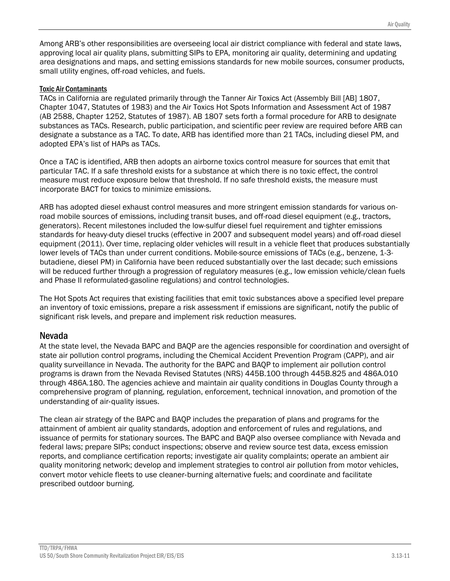Among ARB's other responsibilities are overseeing local air district compliance with federal and state laws, approving local air quality plans, submitting SIPs to EPA, monitoring air quality, determining and updating area designations and maps, and setting emissions standards for new mobile sources, consumer products, small utility engines, off-road vehicles, and fuels.

#### Toxic Air Contaminants

TACs in California are regulated primarily through the Tanner Air Toxics Act (Assembly Bill [AB] 1807, Chapter 1047, Statutes of 1983) and the Air Toxics Hot Spots Information and Assessment Act of 1987 (AB 2588, Chapter 1252, Statutes of 1987). AB 1807 sets forth a formal procedure for ARB to designate substances as TACs. Research, public participation, and scientific peer review are required before ARB can designate a substance as a TAC. To date, ARB has identified more than 21 TACs, including diesel PM, and adopted EPA's list of HAPs as TACs.

Once a TAC is identified, ARB then adopts an airborne toxics control measure for sources that emit that particular TAC. If a safe threshold exists for a substance at which there is no toxic effect, the control measure must reduce exposure below that threshold. If no safe threshold exists, the measure must incorporate BACT for toxics to minimize emissions.

ARB has adopted diesel exhaust control measures and more stringent emission standards for various onroad mobile sources of emissions, including transit buses, and off-road diesel equipment (e.g., tractors, generators). Recent milestones included the low-sulfur diesel fuel requirement and tighter emissions standards for heavy-duty diesel trucks (effective in 2007 and subsequent model years) and off-road diesel equipment (2011). Over time, replacing older vehicles will result in a vehicle fleet that produces substantially lower levels of TACs than under current conditions. Mobile-source emissions of TACs (e.g., benzene, 1-3 butadiene, diesel PM) in California have been reduced substantially over the last decade; such emissions will be reduced further through a progression of regulatory measures (e.g., low emission vehicle/clean fuels and Phase II reformulated-gasoline regulations) and control technologies.

The Hot Spots Act requires that existing facilities that emit toxic substances above a specified level prepare an inventory of toxic emissions, prepare a risk assessment if emissions are significant, notify the public of significant risk levels, and prepare and implement risk reduction measures.

## Nevada

At the state level, the Nevada BAPC and BAQP are the agencies responsible for coordination and oversight of state air pollution control programs, including the Chemical Accident Prevention Program (CAPP), and air quality surveillance in Nevada. The authority for the BAPC and BAQP to implement air pollution control programs is drawn from the Nevada Revised Statutes (NRS) 445B.100 through 445B.825 and 486A.010 through 486A.180. The agencies achieve and maintain air quality conditions in Douglas County through a comprehensive program of planning, regulation, enforcement, technical innovation, and promotion of the understanding of air‐quality issues.

The clean air strategy of the BAPC and BAQP includes the preparation of plans and programs for the attainment of ambient air quality standards, adoption and enforcement of rules and regulations, and issuance of permits for stationary sources. The BAPC and BAQP also oversee compliance with Nevada and federal laws; prepare SIPs; conduct inspections; observe and review source test data, excess emission reports, and compliance certification reports; investigate air quality complaints; operate an ambient air quality monitoring network; develop and implement strategies to control air pollution from motor vehicles, convert motor vehicle fleets to use cleaner‐burning alternative fuels; and coordinate and facilitate prescribed outdoor burning.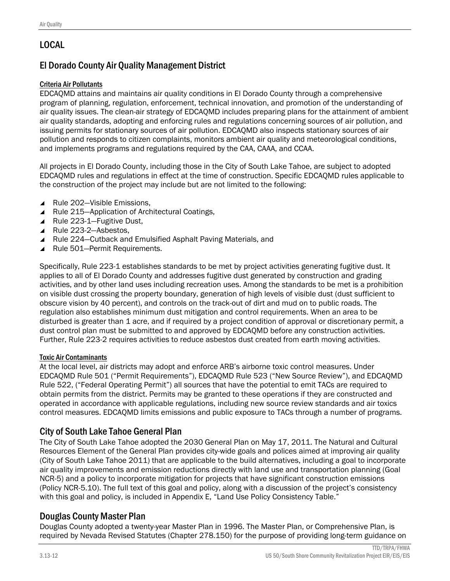# LOCAL

# El Dorado County Air Quality Management District

### Criteria Air Pollutants

EDCAQMD attains and maintains air quality conditions in El Dorado County through a comprehensive program of planning, regulation, enforcement, technical innovation, and promotion of the understanding of air quality issues. The clean-air strategy of EDCAQMD includes preparing plans for the attainment of ambient air quality standards, adopting and enforcing rules and regulations concerning sources of air pollution, and issuing permits for stationary sources of air pollution. EDCAQMD also inspects stationary sources of air pollution and responds to citizen complaints, monitors ambient air quality and meteorological conditions, and implements programs and regulations required by the CAA, CAAA, and CCAA.

All projects in El Dorado County, including those in the City of South Lake Tahoe, are subject to adopted EDCAQMD rules and regulations in effect at the time of construction. Specific EDCAQMD rules applicable to the construction of the project may include but are not limited to the following:

- ▲ Rule 202–Visible Emissions,
- ▲ Rule 215–Application of Architectural Coatings,
- ▲ Rule 223-1–Fugitive Dust,
- ▲ Rule 223-2-Asbestos,
- Rule 224–Cutback and Emulsified Asphalt Paving Materials, and
- ▲ Rule 501–Permit Requirements.

Specifically, Rule 223-1 establishes standards to be met by project activities generating fugitive dust. It applies to all of El Dorado County and addresses fugitive dust generated by construction and grading activities, and by other land uses including recreation uses. Among the standards to be met is a prohibition on visible dust crossing the property boundary, generation of high levels of visible dust (dust sufficient to obscure vision by 40 percent), and controls on the track-out of dirt and mud on to public roads. The regulation also establishes minimum dust mitigation and control requirements. When an area to be disturbed is greater than 1 acre, and if required by a project condition of approval or discretionary permit, a dust control plan must be submitted to and approved by EDCAQMD before any construction activities. Further, Rule 223-2 requires activities to reduce asbestos dust created from earth moving activities.

#### Toxic Air Contaminants

At the local level, air districts may adopt and enforce ARB's airborne toxic control measures. Under EDCAQMD Rule 501 ("Permit Requirements"), EDCAQMD Rule 523 ("New Source Review"), and EDCAQMD Rule 522, ("Federal Operating Permit") all sources that have the potential to emit TACs are required to obtain permits from the district. Permits may be granted to these operations if they are constructed and operated in accordance with applicable regulations, including new source review standards and air toxics control measures. EDCAQMD limits emissions and public exposure to TACs through a number of programs.

## City of South Lake Tahoe General Plan

The City of South Lake Tahoe adopted the 2030 General Plan on May 17, 2011. The Natural and Cultural Resources Element of the General Plan provides city-wide goals and polices aimed at improving air quality (City of South Lake Tahoe 2011) that are applicable to the build alternatives, including a goal to incorporate air quality improvements and emission reductions directly with land use and transportation planning (Goal NCR-5) and a policy to incorporate mitigation for projects that have significant construction emissions (Policy NCR-5.10). The full text of this goal and policy, along with a discussion of the project's consistency with this goal and policy, is included in Appendix E, "Land Use Policy Consistency Table."

## Douglas County Master Plan

Douglas County adopted a twenty-year Master Plan in 1996. The Master Plan, or Comprehensive Plan, is required by Nevada Revised Statutes (Chapter 278.150) for the purpose of providing long-term guidance on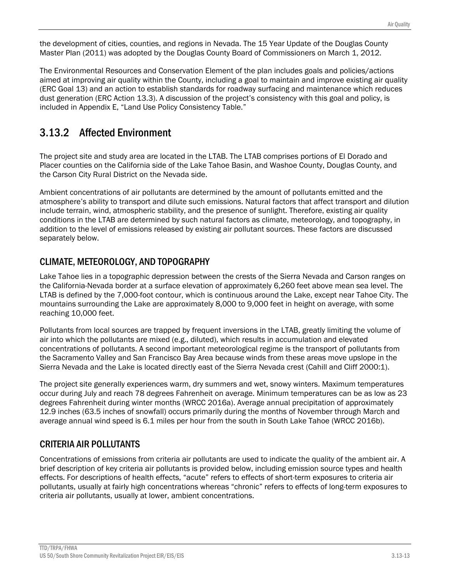the development of cities, counties, and regions in Nevada. The 15 Year Update of the Douglas County Master Plan (2011) was adopted by the Douglas County Board of Commissioners on March 1, 2012.

The Environmental Resources and Conservation Element of the plan includes goals and policies/actions aimed at improving air quality within the County, including a goal to maintain and improve existing air quality (ERC Goal 13) and an action to establish standards for roadway surfacing and maintenance which reduces dust generation (ERC Action 13.3). A discussion of the project's consistency with this goal and policy, is included in Appendix E, "Land Use Policy Consistency Table."

# 3.13.2 Affected Environment

The project site and study area are located in the LTAB. The LTAB comprises portions of El Dorado and Placer counties on the California side of the Lake Tahoe Basin, and Washoe County, Douglas County, and the Carson City Rural District on the Nevada side.

Ambient concentrations of air pollutants are determined by the amount of pollutants emitted and the atmosphere's ability to transport and dilute such emissions. Natural factors that affect transport and dilution include terrain, wind, atmospheric stability, and the presence of sunlight. Therefore, existing air quality conditions in the LTAB are determined by such natural factors as climate, meteorology, and topography, in addition to the level of emissions released by existing air pollutant sources. These factors are discussed separately below.

# CLIMATE, METEOROLOGY, AND TOPOGRAPHY

Lake Tahoe lies in a topographic depression between the crests of the Sierra Nevada and Carson ranges on the California-Nevada border at a surface elevation of approximately 6,260 feet above mean sea level. The LTAB is defined by the 7,000-foot contour, which is continuous around the Lake, except near Tahoe City. The mountains surrounding the Lake are approximately 8,000 to 9,000 feet in height on average, with some reaching 10,000 feet.

Pollutants from local sources are trapped by frequent inversions in the LTAB, greatly limiting the volume of air into which the pollutants are mixed (e.g., diluted), which results in accumulation and elevated concentrations of pollutants. A second important meteorological regime is the transport of pollutants from the Sacramento Valley and San Francisco Bay Area because winds from these areas move upslope in the Sierra Nevada and the Lake is located directly east of the Sierra Nevada crest (Cahill and Cliff 2000:1).

The project site generally experiences warm, dry summers and wet, snowy winters. Maximum temperatures occur during July and reach 78 degrees Fahrenheit on average. Minimum temperatures can be as low as 23 degrees Fahrenheit during winter months (WRCC 2016a). Average annual precipitation of approximately 12.9 inches (63.5 inches of snowfall) occurs primarily during the months of November through March and average annual wind speed is 6.1 miles per hour from the south in South Lake Tahoe (WRCC 2016b).

# CRITERIA AIR POLLUTANTS

Concentrations of emissions from criteria air pollutants are used to indicate the quality of the ambient air. A brief description of key criteria air pollutants is provided below, including emission source types and health effects. For descriptions of health effects, "acute" refers to effects of short-term exposures to criteria air pollutants, usually at fairly high concentrations whereas "chronic" refers to effects of long-term exposures to criteria air pollutants, usually at lower, ambient concentrations.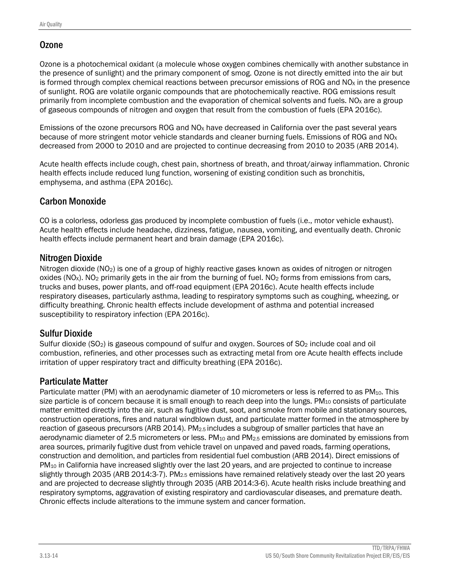# **Ozone**

Ozone is a photochemical oxidant (a molecule whose oxygen combines chemically with another substance in the presence of sunlight) and the primary component of smog. Ozone is not directly emitted into the air but is formed through complex chemical reactions between precursor emissions of ROG and  $NQ<sub>X</sub>$  in the presence of sunlight. ROG are volatile organic compounds that are photochemically reactive. ROG emissions result primarily from incomplete combustion and the evaporation of chemical solvents and fuels. NO<sub>x</sub> are a group of gaseous compounds of nitrogen and oxygen that result from the combustion of fuels (EPA 2016c).

Emissions of the ozone precursors ROG and NOX have decreased in California over the past several years because of more stringent motor vehicle standards and cleaner burning fuels. Emissions of ROG and  $NO<sub>X</sub>$ decreased from 2000 to 2010 and are projected to continue decreasing from 2010 to 2035 (ARB 2014).

Acute health effects include cough, chest pain, shortness of breath, and throat/airway inflammation. Chronic health effects include reduced lung function, worsening of existing condition such as bronchitis, emphysema, and asthma (EPA 2016c).

# Carbon Monoxide

CO is a colorless, odorless gas produced by incomplete combustion of fuels (i.e., motor vehicle exhaust). Acute health effects include headache, dizziness, fatigue, nausea, vomiting, and eventually death. Chronic health effects include permanent heart and brain damage (EPA 2016c).

# Nitrogen Dioxide

Nitrogen dioxide (NO2) is one of a group of highly reactive gases known as oxides of nitrogen or nitrogen oxides (NO<sub>x</sub>). NO<sub>2</sub> primarily gets in the air from the burning of fuel. NO<sub>2</sub> forms from emissions from cars, trucks and buses, power plants, and off-road equipment (EPA 2016c). Acute health effects include respiratory diseases, particularly asthma, leading to respiratory symptoms such as coughing, wheezing, or difficulty breathing. Chronic health effects include development of asthma and potential increased susceptibility to respiratory infection (EPA 2016c).

# Sulfur Dioxide

Sulfur dioxide  $(SO<sub>2</sub>)$  is gaseous compound of sulfur and oxygen. Sources of  $SO<sub>2</sub>$  include coal and oil combustion, refineries, and other processes such as extracting metal from ore Acute health effects include irritation of upper respiratory tract and difficulty breathing (EPA 2016c).

# Particulate Matter

Particulate matter (PM) with an aerodynamic diameter of 10 micrometers or less is referred to as PM<sub>10</sub>. This size particle is of concern because it is small enough to reach deep into the lungs. PM<sub>10</sub> consists of particulate matter emitted directly into the air, such as fugitive dust, soot, and smoke from mobile and stationary sources, construction operations, fires and natural windblown dust, and particulate matter formed in the atmosphere by reaction of gaseous precursors (ARB 2014). PM2.5 includes a subgroup of smaller particles that have an aerodynamic diameter of 2.5 micrometers or less.  $PM_{10}$  and  $PM_{2.5}$  emissions are dominated by emissions from area sources, primarily fugitive dust from vehicle travel on unpaved and paved roads, farming operations, construction and demolition, and particles from residential fuel combustion (ARB 2014). Direct emissions of PM<sub>10</sub> in California have increased slightly over the last 20 years, and are projected to continue to increase slightly through 2035 (ARB 2014:3-7). PM<sub>2.5</sub> emissions have remained relatively steady over the last 20 years and are projected to decrease slightly through 2035 (ARB 2014:3-6). Acute health risks include breathing and respiratory symptoms, aggravation of existing respiratory and cardiovascular diseases, and premature death. Chronic effects include alterations to the immune system and cancer formation.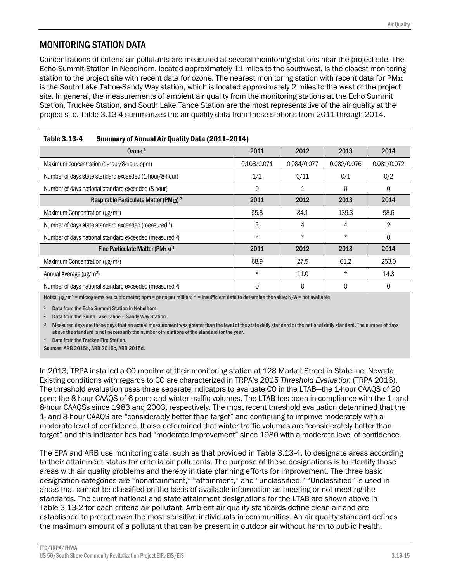# MONITORING STATION DATA

Concentrations of criteria air pollutants are measured at several monitoring stations near the project site. The Echo Summit Station in Nebelhorn, located approximately 11 miles to the southwest, is the closest monitoring station to the project site with recent data for ozone. The nearest monitoring station with recent data for PM<sub>10</sub> is the South Lake Tahoe-Sandy Way station, which is located approximately 2 miles to the west of the project site. In general, the measurements of ambient air quality from the monitoring stations at the Echo Summit Station, Truckee Station, and South Lake Tahoe Station are the most representative of the air quality at the project site. Table 3.13-4 summarizes the air quality data from these stations from 2011 through 2014.

| 14116 J.IJ-4<br>Julillialy VI Allilual All Quality Data (2011–2014) |             |             |             |             |  |  |  |  |
|---------------------------------------------------------------------|-------------|-------------|-------------|-------------|--|--|--|--|
| Ozone <sup>1</sup>                                                  | 2011        | 2012        | 2013        | 2014        |  |  |  |  |
| Maximum concentration (1-hour/8-hour, ppm)                          | 0.108/0.071 | 0.084/0.077 | 0.082/0.076 | 0.081/0.072 |  |  |  |  |
| Number of days state standard exceeded (1-hour/8-hour)              | 1/1         | 0/11        | 0/1         | 0/2         |  |  |  |  |
| Number of days national standard exceeded (8-hour)                  | 0           |             | 0           | 0           |  |  |  |  |
| Respirable Particulate Matter (PM10) <sup>2</sup>                   | 2011        | 2012        | 2013        | 2014        |  |  |  |  |
| Maximum Concentration (µg/m <sup>3</sup> )                          | 55.8        | 84.1        | 139.3       | 58.6        |  |  |  |  |
| Number of days state standard exceeded (measured 3)                 | 3           | 4           | 4           | 2           |  |  |  |  |
| Number of days national standard exceeded (measured 3)              | $\star$     | $\star$     | $\star$     | $\Omega$    |  |  |  |  |
| Fine Particulate Matter (PM <sub>2.5</sub> ) <sup>4</sup>           | 2011        | 2012        | 2013        | 2014        |  |  |  |  |
| Maximum Concentration ( $\mu$ g/m <sup>3</sup> )                    | 68.9        | 27.5        | 61.2        | 253.0       |  |  |  |  |
| Annual Average (µg/m <sup>3</sup> )                                 | $\star$     | 11.0        | $\star$     | 14.3        |  |  |  |  |
| Number of days national standard exceeded (measured 3)              | 0           | 0           | 0           | 0           |  |  |  |  |

#### Table 3.13-4 Summary of Annual Air Quality Data (2011–2014)

Notes:  $\mu g/m^3$  = micrograms per cubic meter; ppm = parts per million; \* = Insufficient data to determine the value; N/A = not available

1 Data from the Echo Summit Station in Nebelhorn.

2 Data from the South Lake Tahoe – Sandy Way Station.

 $3$  Measured days are those days that an actual measurement was greater than the level of the state daily standard or the national daily standard. The number of days above the standard is not necessarily the number of violations of the standard for the year.

Data from the Truckee Fire Station.

Sources: ARB 2015b, ARB 2015c, ARB 2015d.

In 2013, TRPA installed a CO monitor at their monitoring station at 128 Market Street in Stateline, Nevada. Existing conditions with regards to CO are characterized in TRPA's *2015 Threshold Evaluation* (TRPA 2016). The threshold evaluation uses three separate indicators to evaluate CO in the LTAB—the 1-hour CAAQS of 20 ppm; the 8-hour CAAQS of 6 ppm; and winter traffic volumes. The LTAB has been in compliance with the 1- and 8-hour CAAQSs since 1983 and 2003, respectively. The most recent threshold evaluation determined that the 1- and 8-hour CAAQS are "considerably better than target" and continuing to improve moderately with a moderate level of confidence. It also determined that winter traffic volumes are "considerately better than target" and this indicator has had "moderate improvement" since 1980 with a moderate level of confidence.

The EPA and ARB use monitoring data, such as that provided in Table 3.13-4, to designate areas according to their attainment status for criteria air pollutants. The purpose of these designations is to identify those areas with air quality problems and thereby initiate planning efforts for improvement. The three basic designation categories are "nonattainment," "attainment," and "unclassified." "Unclassified" is used in areas that cannot be classified on the basis of available information as meeting or not meeting the standards. The current national and state attainment designations for the LTAB are shown above in Table 3.13-2 for each criteria air pollutant. Ambient air quality standards define clean air and are established to protect even the most sensitive individuals in communities. An air quality standard defines the maximum amount of a pollutant that can be present in outdoor air without harm to public health.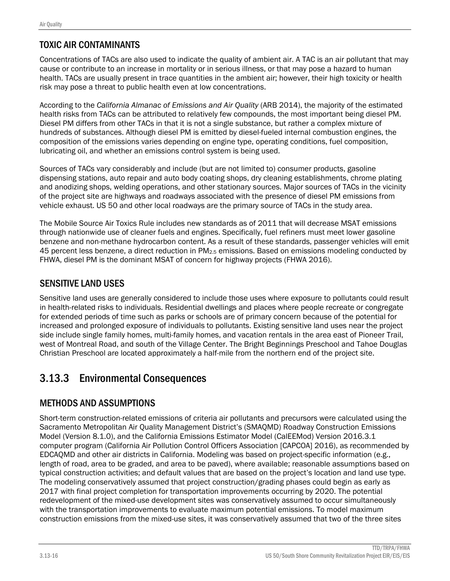# TOXIC AIR CONTAMINANTS

Concentrations of TACs are also used to indicate the quality of ambient air. A TAC is an air pollutant that may cause or contribute to an increase in mortality or in serious illness, or that may pose a hazard to human health. TACs are usually present in trace quantities in the ambient air; however, their high toxicity or health risk may pose a threat to public health even at low concentrations.

According to the *California Almanac of Emissions and Air Quality* (ARB 2014), the majority of the estimated health risks from TACs can be attributed to relatively few compounds, the most important being diesel PM. Diesel PM differs from other TACs in that it is not a single substance, but rather a complex mixture of hundreds of substances. Although diesel PM is emitted by diesel-fueled internal combustion engines, the composition of the emissions varies depending on engine type, operating conditions, fuel composition, lubricating oil, and whether an emissions control system is being used.

Sources of TACs vary considerably and include (but are not limited to) consumer products, gasoline dispensing stations, auto repair and auto body coating shops, dry cleaning establishments, chrome plating and anodizing shops, welding operations, and other stationary sources. Major sources of TACs in the vicinity of the project site are highways and roadways associated with the presence of diesel PM emissions from vehicle exhaust. US 50 and other local roadways are the primary source of TACs in the study area.

The Mobile Source Air Toxics Rule includes new standards as of 2011 that will decrease MSAT emissions through nationwide use of cleaner fuels and engines. Specifically, fuel refiners must meet lower gasoline benzene and non-methane hydrocarbon content. As a result of these standards, passenger vehicles will emit 45 percent less benzene, a direct reduction in PM2.5 emissions. Based on emissions modeling conducted by FHWA, diesel PM is the dominant MSAT of concern for highway projects (FHWA 2016).

# SENSITIVE LAND USES

Sensitive land uses are generally considered to include those uses where exposure to pollutants could result in health-related risks to individuals. Residential dwellings and places where people recreate or congregate for extended periods of time such as parks or schools are of primary concern because of the potential for increased and prolonged exposure of individuals to pollutants. Existing sensitive land uses near the project side include single family homes, multi-family homes, and vacation rentals in the area east of Pioneer Trail, west of Montreal Road, and south of the Village Center. The Bright Beginnings Preschool and Tahoe Douglas Christian Preschool are located approximately a half-mile from the northern end of the project site.

# 3.13.3 Environmental Consequences

# METHODS AND ASSUMPTIONS

Short-term construction-related emissions of criteria air pollutants and precursors were calculated using the Sacramento Metropolitan Air Quality Management District's (SMAQMD) Roadway Construction Emissions Model (Version 8.1.0), and the California Emissions Estimator Model (CalEEMod) Version 2016.3.1 computer program (California Air Pollution Control Officers Association [CAPCOA] 2016), as recommended by EDCAQMD and other air districts in California. Modeling was based on project-specific information (e.g., length of road, area to be graded, and area to be paved), where available; reasonable assumptions based on typical construction activities; and default values that are based on the project's location and land use type. The modeling conservatively assumed that project construction/grading phases could begin as early as 2017 with final project completion for transportation improvements occurring by 2020. The potential redevelopment of the mixed-use development sites was conservatively assumed to occur simultaneously with the transportation improvements to evaluate maximum potential emissions. To model maximum construction emissions from the mixed-use sites, it was conservatively assumed that two of the three sites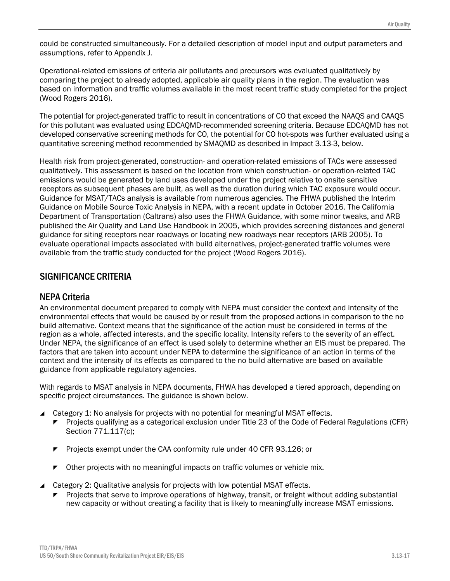could be constructed simultaneously. For a detailed description of model input and output parameters and assumptions, refer to Appendix J.

Operational-related emissions of criteria air pollutants and precursors was evaluated qualitatively by comparing the project to already adopted, applicable air quality plans in the region. The evaluation was based on information and traffic volumes available in the most recent traffic study completed for the project (Wood Rogers 2016).

The potential for project-generated traffic to result in concentrations of CO that exceed the NAAQS and CAAQS for this pollutant was evaluated using EDCAQMD-recommended screening criteria. Because EDCAQMD has not developed conservative screening methods for CO, the potential for CO hot-spots was further evaluated using a quantitative screening method recommended by SMAQMD as described in Impact 3.13-3, below.

Health risk from project-generated, construction- and operation-related emissions of TACs were assessed qualitatively. This assessment is based on the location from which construction- or operation-related TAC emissions would be generated by land uses developed under the project relative to onsite sensitive receptors as subsequent phases are built, as well as the duration during which TAC exposure would occur. Guidance for MSAT/TACs analysis is available from numerous agencies. The FHWA published the Interim Guidance on Mobile Source Toxic Analysis in NEPA, with a recent update in October 2016. The California Department of Transportation (Caltrans) also uses the FHWA Guidance, with some minor tweaks, and ARB published the Air Quality and Land Use Handbook in 2005, which provides screening distances and general guidance for siting receptors near roadways or locating new roadways near receptors (ARB 2005). To evaluate operational impacts associated with build alternatives, project-generated traffic volumes were available from the traffic study conducted for the project (Wood Rogers 2016).

## SIGNIFICANCE CRITERIA

## NEPA Criteria

An environmental document prepared to comply with NEPA must consider the context and intensity of the environmental effects that would be caused by or result from the proposed actions in comparison to the no build alternative. Context means that the significance of the action must be considered in terms of the region as a whole, affected interests, and the specific locality. Intensity refers to the severity of an effect. Under NEPA, the significance of an effect is used solely to determine whether an EIS must be prepared. The factors that are taken into account under NEPA to determine the significance of an action in terms of the context and the intensity of its effects as compared to the no build alternative are based on available guidance from applicable regulatory agencies.

With regards to MSAT analysis in NEPA documents, FHWA has developed a tiered approach, depending on specific project circumstances. The guidance is shown below.

- ▲ Category 1: No analysis for projects with no potential for meaningful MSAT effects.
	- **Projects qualifying as a categorical exclusion under Title 23 of the Code of Federal Regulations (CFR)** Section 771.117(c);
	- **Projects exempt under the CAA conformity rule under 40 CFR 93.126; or**
	- **T** Other projects with no meaningful impacts on traffic volumes or vehicle mix.
- Category 2: Qualitative analysis for projects with low potential MSAT effects.
	- Projects that serve to improve operations of highway, transit, or freight without adding substantial new capacity or without creating a facility that is likely to meaningfully increase MSAT emissions.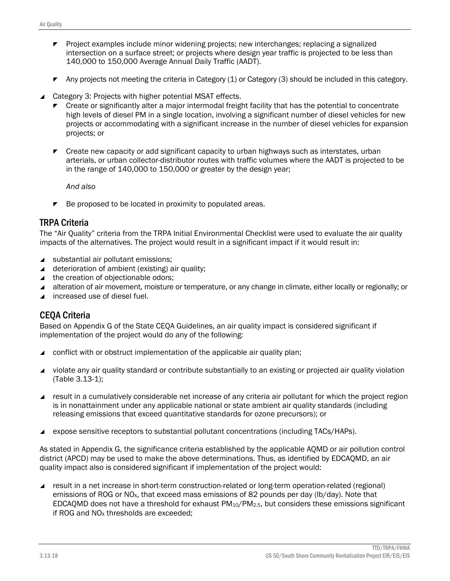- **Project examples include minor widening projects; new interchanges; replacing a signalized** intersection on a surface street; or projects where design year traffic is projected to be less than 140,000 to 150,000 Average Annual Daily Traffic (AADT).
- Any projects not meeting the criteria in Category  $(1)$  or Category  $(3)$  should be included in this category.
- Category 3: Projects with higher potential MSAT effects.
	- Create or significantly alter a major intermodal freight facility that has the potential to concentrate high levels of diesel PM in a single location, involving a significant number of diesel vehicles for new projects or accommodating with a significant increase in the number of diesel vehicles for expansion projects; or
	- $\triangleright$  Create new capacity or add significant capacity to urban highways such as interstates, urban arterials, or urban collector-distributor routes with traffic volumes where the AADT is projected to be in the range of 140,000 to 150,000 or greater by the design year;

*And also*

 $\blacktriangleright$  Be proposed to be located in proximity to populated areas.

# TRPA Criteria

The "Air Quality" criteria from the TRPA Initial Environmental Checklist were used to evaluate the air quality impacts of the alternatives. The project would result in a significant impact if it would result in:

- substantial air pollutant emissions:
- $\triangle$  deterioration of ambient (existing) air quality;
- $\blacktriangle$  the creation of objectionable odors;
- alteration of air movement, moisture or temperature, or any change in climate, either locally or regionally; or
- ▲ increased use of diesel fuel.

### CEQA Criteria

Based on Appendix G of the State CEQA Guidelines, an air quality impact is considered significant if implementation of the project would do any of the following:

- conflict with or obstruct implementation of the applicable air quality plan;
- violate any air quality standard or contribute substantially to an existing or projected air quality violation (Table 3.13-1);
- result in a cumulatively considerable net increase of any criteria air pollutant for which the project region is in nonattainment under any applicable national or state ambient air quality standards (including releasing emissions that exceed quantitative standards for ozone precursors); or
- expose sensitive receptors to substantial pollutant concentrations (including TACs/HAPs).

As stated in Appendix G, the significance criteria established by the applicable AQMD or air pollution control district (APCD) may be used to make the above determinations. Thus, as identified by EDCAQMD, an air quality impact also is considered significant if implementation of the project would:

 result in a net increase in short-term construction-related or long-term operation-related (regional) emissions of ROG or NO<sub>x</sub>, that exceed mass emissions of 82 pounds per day (lb/day). Note that EDCAQMD does not have a threshold for exhaust PM10/PM2.5, but considers these emissions significant if ROG and  $NO<sub>x</sub>$  thresholds are exceeded;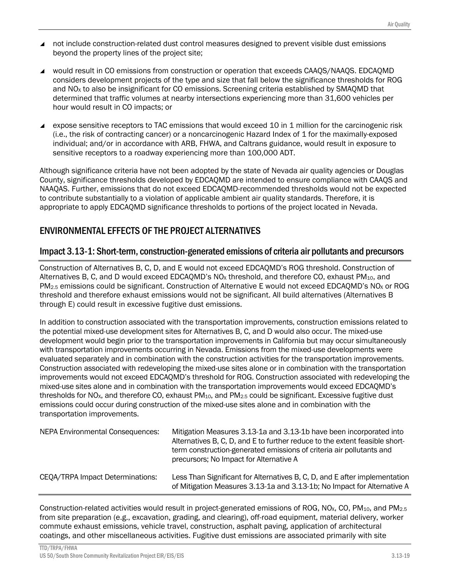- not include construction-related dust control measures designed to prevent visible dust emissions beyond the property lines of the project site;
- would result in CO emissions from construction or operation that exceeds CAAOS/NAAOS. EDCAOMD considers development projects of the type and size that fall below the significance thresholds for ROG and NO<sub>x</sub> to also be insignificant for CO emissions. Screening criteria established by SMAQMD that determined that traffic volumes at nearby intersections experiencing more than 31,600 vehicles per hour would result in CO impacts; or
- expose sensitive receptors to TAC emissions that would exceed 10 in 1 million for the carcinogenic risk (i.e., the risk of contracting cancer) or a noncarcinogenic Hazard Index of 1 for the maximally-exposed individual; and/or in accordance with ARB, FHWA, and Caltrans guidance, would result in exposure to sensitive receptors to a roadway experiencing more than 100,000 ADT.

Although significance criteria have not been adopted by the state of Nevada air quality agencies or Douglas County, significance thresholds developed by EDCAQMD are intended to ensure compliance with CAAQS and NAAQAS. Further, emissions that do not exceed EDCAQMD-recommended thresholds would not be expected to contribute substantially to a violation of applicable ambient air quality standards. Therefore, it is appropriate to apply EDCAQMD significance thresholds to portions of the project located in Nevada.

# ENVIRONMENTAL EFFECTS OF THE PROJECT ALTERNATIVES

### Impact 3.13-1: Short-term, construction-generated emissions of criteria air pollutants and precursors

Construction of Alternatives B, C, D, and E would not exceed EDCAQMD's ROG threshold. Construction of Alternatives B, C, and D would exceed EDCAQMD's  $NQ_X$  threshold, and therefore CO, exhaust PM<sub>10</sub>, and PM<sub>2.5</sub> emissions could be significant. Construction of Alternative E would not exceed EDCAQMD's NO<sub>x</sub> or ROG threshold and therefore exhaust emissions would not be significant. All build alternatives (Alternatives B through E) could result in excessive fugitive dust emissions.

In addition to construction associated with the transportation improvements, construction emissions related to the potential mixed-use development sites for Alternatives B, C, and D would also occur. The mixed-use development would begin prior to the transportation improvements in California but may occur simultaneously with transportation improvements occurring in Nevada. Emissions from the mixed-use developments were evaluated separately and in combination with the construction activities for the transportation improvements. Construction associated with redeveloping the mixed-use sites alone or in combination with the transportation improvements would not exceed EDCAQMD's threshold for ROG. Construction associated with redeveloping the mixed-use sites alone and in combination with the transportation improvements would exceed EDCAQMD's thresholds for NO<sub>x</sub>, and therefore CO, exhaust PM<sub>10</sub>, and PM<sub>2.5</sub> could be significant. Excessive fugitive dust emissions could occur during construction of the mixed-use sites alone and in combination with the transportation improvements.

| <b>NEPA Environmental Consequences:</b> | Mitigation Measures 3.13-1a and 3.13-1b have been incorporated into<br>Alternatives B, C, D, and E to further reduce to the extent feasible short-<br>term construction-generated emissions of criteria air pollutants and<br>precursors; No Impact for Alternative A |  |  |
|-----------------------------------------|-----------------------------------------------------------------------------------------------------------------------------------------------------------------------------------------------------------------------------------------------------------------------|--|--|
| CEQA/TRPA Impact Determinations:        | Less Than Significant for Alternatives B, C, D, and E after implementation<br>of Mitigation Measures 3.13-1a and 3.13-1b; No Impact for Alternative A                                                                                                                 |  |  |

Construction-related activities would result in project-generated emissions of ROG, NO<sub>x</sub>, CO, PM<sub>10</sub>, and PM<sub>2.5</sub> from site preparation (e.g., excavation, grading, and clearing), off-road equipment, material delivery, worker commute exhaust emissions, vehicle travel, construction, asphalt paving, application of architectural coatings, and other miscellaneous activities. Fugitive dust emissions are associated primarily with site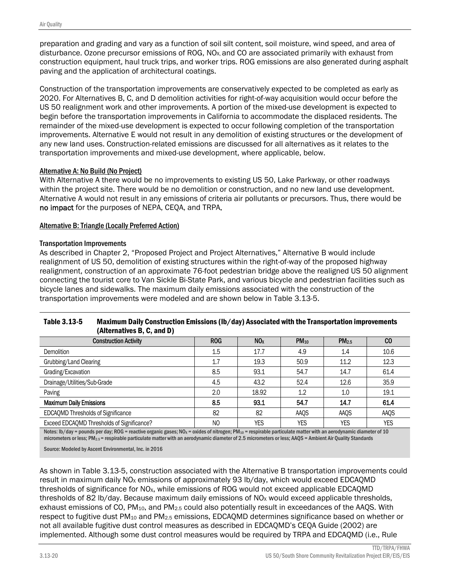preparation and grading and vary as a function of soil silt content, soil moisture, wind speed, and area of disturbance. Ozone precursor emissions of ROG,  $NO<sub>X</sub>$  and CO are associated primarily with exhaust from construction equipment, haul truck trips, and worker trips. ROG emissions are also generated during asphalt paving and the application of architectural coatings.

Construction of the transportation improvements are conservatively expected to be completed as early as 2020. For Alternatives B, C, and D demolition activities for right-of-way acquisition would occur before the US 50 realignment work and other improvements. A portion of the mixed-use development is expected to begin before the transportation improvements in California to accommodate the displaced residents. The remainder of the mixed-use development is expected to occur following completion of the transportation improvements. Alternative E would not result in any demolition of existing structures or the development of any new land uses. Construction-related emissions are discussed for all alternatives as it relates to the transportation improvements and mixed-use development, where applicable, below.

#### Alternative A: No Build (No Project)

With Alternative A there would be no improvements to existing US 50, Lake Parkway, or other roadways within the project site. There would be no demolition or construction, and no new land use development. Alternative A would not result in any emissions of criteria air pollutants or precursors. Thus, there would be no impact for the purposes of NEPA, CEQA, and TRPA.

#### Alternative B: Triangle (Locally Preferred Action)

#### Transportation Improvements

As described in Chapter 2, "Proposed Project and Project Alternatives," Alternative B would include realignment of US 50, demolition of existing structures within the right-of-way of the proposed highway realignment, construction of an approximate 76-foot pedestrian bridge above the realigned US 50 alignment connecting the tourist core to Van Sickle Bi-State Park, and various bicycle and pedestrian facilities such as bicycle lanes and sidewalks. The maximum daily emissions associated with the construction of the transportation improvements were modeled and are shown below in Table 3.13-5.

| Table 3.13-5 | Maximum Daily Construction Emissions (Ib/day) Associated with the Transportation improvements |
|--------------|-----------------------------------------------------------------------------------------------|
|              | (Alternatives B, C, and D)                                                                    |

| <b>Construction Activity</b>               | <b>ROG</b> | NO <sub>x</sub> | $PM_{10}$  | PM <sub>2.5</sub> | $_{\rm CO}$ |
|--------------------------------------------|------------|-----------------|------------|-------------------|-------------|
| Demolition                                 | 1.5        | 17.7            | 4.9        | 1.4               | 10.6        |
| Grubbing/Land Clearing                     | 1.7        | 19.3            | 50.9       | 11.2              | 12.3        |
| Grading/Excavation                         | 8.5        | 93.1            | 54.7       | 14.7              | 61.4        |
| Drainage/Utilities/Sub-Grade               | 4.5        | 43.2            | 52.4       | 12.6              | 35.9        |
| Paving                                     | 2.0        | 18.92           | 1.2        | 1.0               | 19.1        |
| <b>Maximum Daily Emissions</b>             | 8.5        | 93.1            | 54.7       | 14.7              | 61.4        |
| <b>EDCAQMD Thresholds of Significance</b>  | 82         | 82              | AAQS       | AAQS              | AAQS        |
| Exceed EDCAQMD Thresholds of Significance? | NO         | YES             | <b>YES</b> | <b>YES</b>        | <b>YES</b>  |

Notes:  $\frac{1}{2}$  lb/day = pounds per day; ROG = reactive organic gases; NO<sub>x</sub> = oxides of nitrogen; PM<sub>10</sub> = respirable particulate matter with an aerodynamic diameter of 10 micrometers or less; PM<sub>2.5</sub> = respirable particulate matter with an aerodynamic diameter of 2.5 micrometers or less; AAQS = Ambient Air Quality Standards

Source: Modeled by Ascent Environmental, Inc. in 2016

As shown in Table 3.13-5, construction associated with the Alternative B transportation improvements could result in maximum daily NO<sub>x</sub> emissions of approximately 93 lb/day, which would exceed EDCAQMD thresholds of significance for  $NO<sub>x</sub>$ , while emissions of ROG would not exceed applicable EDCAOMD thresholds of 82 lb/day. Because maximum daily emissions of  $NO<sub>X</sub>$  would exceed applicable thresholds, exhaust emissions of CO, PM10, and PM2.5 could also potentially result in exceedances of the AAQS. With respect to fugitive dust PM<sub>10</sub> and PM<sub>2.5</sub> emissions, EDCAQMD determines significance based on whether or not all available fugitive dust control measures as described in EDCAQMD's CEQA Guide (2002) are implemented. Although some dust control measures would be required by TRPA and EDCAQMD (i.e., Rule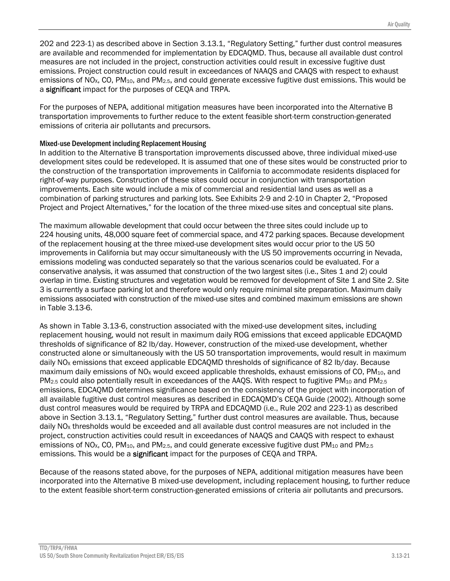202 and 223-1) as described above in Section 3.13.1, "Regulatory Setting," further dust control measures are available and recommended for implementation by EDCAQMD. Thus, because all available dust control measures are not included in the project, construction activities could result in excessive fugitive dust emissions. Project construction could result in exceedances of NAAQS and CAAQS with respect to exhaust emissions of NO<sub>x</sub>, CO, PM<sub>10</sub>, and PM<sub>2.5</sub>, and could generate excessive fugitive dust emissions. This would be a significant impact for the purposes of CEQA and TRPA.

For the purposes of NEPA, additional mitigation measures have been incorporated into the Alternative B transportation improvements to further reduce to the extent feasible short-term construction-generated emissions of criteria air pollutants and precursors.

#### Mixed-use Development including Replacement Housing

In addition to the Alternative B transportation improvements discussed above, three individual mixed-use development sites could be redeveloped. It is assumed that one of these sites would be constructed prior to the construction of the transportation improvements in California to accommodate residents displaced for right-of-way purposes. Construction of these sites could occur in conjunction with transportation improvements. Each site would include a mix of commercial and residential land uses as well as a combination of parking structures and parking lots. See Exhibits 2-9 and 2-10 in Chapter 2, "Proposed Project and Project Alternatives," for the location of the three mixed-use sites and conceptual site plans.

The maximum allowable development that could occur between the three sites could include up to 224 housing units, 48,000 square feet of commercial space, and 472 parking spaces. Because development of the replacement housing at the three mixed-use development sites would occur prior to the US 50 improvements in California but may occur simultaneously with the US 50 improvements occurring in Nevada, emissions modeling was conducted separately so that the various scenarios could be evaluated. For a conservative analysis, it was assumed that construction of the two largest sites (i.e., Sites 1 and 2) could overlap in time. Existing structures and vegetation would be removed for development of Site 1 and Site 2. Site 3 is currently a surface parking lot and therefore would only require minimal site preparation. Maximum daily emissions associated with construction of the mixed-use sites and combined maximum emissions are shown in Table 3.13-6.

As shown in Table 3.13-6, construction associated with the mixed-use development sites, including replacement housing, would not result in maximum daily ROG emissions that exceed applicable EDCAQMD thresholds of significance of 82 lb/day. However, construction of the mixed-use development, whether constructed alone or simultaneously with the US 50 transportation improvements, would result in maximum daily NO<sub>x</sub> emissions that exceed applicable EDCAQMD thresholds of significance of 82 lb/day. Because maximum daily emissions of  $NO<sub>X</sub>$  would exceed applicable thresholds, exhaust emissions of CO, PM<sub>10</sub>, and PM<sub>2.5</sub> could also potentially result in exceedances of the AAQS. With respect to fugitive PM<sub>10</sub> and PM<sub>2.5</sub> emissions, EDCAQMD determines significance based on the consistency of the project with incorporation of all available fugitive dust control measures as described in EDCAQMD's CEQA Guide (2002). Although some dust control measures would be required by TRPA and EDCAQMD (i.e., Rule 202 and 223-1) as described above in Section 3.13.1, "Regulatory Setting," further dust control measures are available. Thus, because daily NO<sub>x</sub> thresholds would be exceeded and all available dust control measures are not included in the project, construction activities could result in exceedances of NAAQS and CAAQS with respect to exhaust emissions of NO<sub>X</sub>, CO, PM<sub>10</sub>, and PM<sub>2.5</sub>, and could generate excessive fugitive dust PM<sub>10</sub> and PM<sub>2.5</sub> emissions. This would be a **significant** impact for the purposes of CEQA and TRPA.

Because of the reasons stated above, for the purposes of NEPA, additional mitigation measures have been incorporated into the Alternative B mixed-use development, including replacement housing, to further reduce to the extent feasible short-term construction-generated emissions of criteria air pollutants and precursors.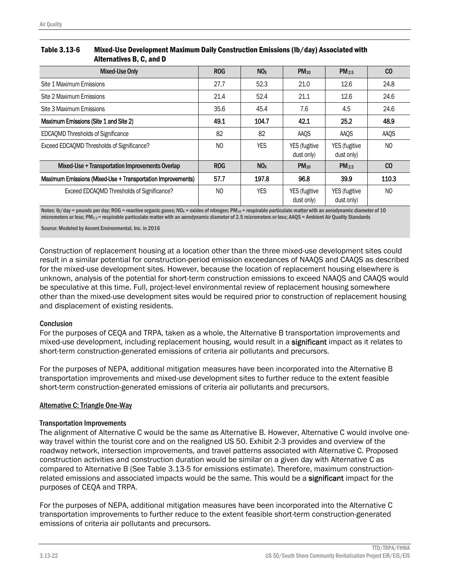| Table 3.13-6 | Mixed-Use Development Maximum Daily Construction Emissions (lb/day) Associated with |  |
|--------------|-------------------------------------------------------------------------------------|--|
|              | Alternatives B, C, and D                                                            |  |

| <b>Mixed-Use Only</b>                                       | <b>ROG</b> | NO <sub>X</sub> | $PM_{10}$                   | $PM_{2.5}$                  | CO    |
|-------------------------------------------------------------|------------|-----------------|-----------------------------|-----------------------------|-------|
| Site 1 Maximum Emissions                                    | 27.7       | 52.3            | 21.0                        | 12.6                        | 24.8  |
| Site 2 Maximum Emissions                                    | 21.4       | 52.4            | 21.1                        | 12.6                        | 24.6  |
| Site 3 Maximum Emissions                                    | 35.6       | 45.4            | 7.6                         | 4.5                         | 24.6  |
| Maximum Emissions (Site 1 and Site 2)                       | 49.1       | 104.7           | 42.1                        | 25.2                        | 48.9  |
| <b>EDCAQMD Thresholds of Significance</b>                   | 82         | 82              | AAQS                        | AAQS                        | AAQS  |
| Exceed EDCAQMD Thresholds of Significance?                  | NO.        | YES             | YES (fugitive<br>dust only) | YES (fugitive<br>dust only) | NO    |
| Mixed-Use + Transportation Improvements Overlap             | <b>ROG</b> | NO <sub>x</sub> | $PM_{10}$                   | PM <sub>2.5</sub>           | CO    |
| Maximum Emissions (Mixed-Use + Transportation Improvements) | 57.7       | 197.8           | 96.8                        | 39.9                        | 110.3 |
| Exceed EDCAQMD Thresholds of Significance?                  | NO.        | <b>YES</b>      | YES (fugitive<br>dust only) | YES (fugitive<br>dust only) | NO    |

Notes: lb/day = pounds per day; ROG = reactive organic gases; NO<sub>x</sub> = oxides of nitrogen; PM<sub>10</sub> = respirable particulate matter with an aerodynamic diameter of 10 micrometers or less; PM<sub>2.5</sub> = respirable particulate matter with an aerodynamic diameter of 2.5 micrometers or less; AAQS = Ambient Air Quality Standards

Source: Modeled by Ascent Environmental, Inc. in 2016

Construction of replacement housing at a location other than the three mixed-use development sites could result in a similar potential for construction-period emission exceedances of NAAQS and CAAQS as described for the mixed-use development sites. However, because the location of replacement housing elsewhere is unknown, analysis of the potential for short-term construction emissions to exceed NAAQS and CAAQS would be speculative at this time. Full, project-level environmental review of replacement housing somewhere other than the mixed-use development sites would be required prior to construction of replacement housing and displacement of existing residents.

#### **Conclusion**

For the purposes of CEQA and TRPA, taken as a whole, the Alternative B transportation improvements and mixed-use development, including replacement housing, would result in a significant impact as it relates to short-term construction-generated emissions of criteria air pollutants and precursors.

For the purposes of NEPA, additional mitigation measures have been incorporated into the Alternative B transportation improvements and mixed-use development sites to further reduce to the extent feasible short-term construction-generated emissions of criteria air pollutants and precursors.

#### Alternative C: Triangle One-Way

#### Transportation Improvements

The alignment of Alternative C would be the same as Alternative B. However, Alternative C would involve oneway travel within the tourist core and on the realigned US 50. Exhibit 2-3 provides and overview of the roadway network, intersection improvements, and travel patterns associated with Alternative C. Proposed construction activities and construction duration would be similar on a given day with Alternative C as compared to Alternative B (See Table 3.13-5 for emissions estimate). Therefore, maximum constructionrelated emissions and associated impacts would be the same. This would be a **significant** impact for the purposes of CEQA and TRPA.

For the purposes of NEPA, additional mitigation measures have been incorporated into the Alternative C transportation improvements to further reduce to the extent feasible short-term construction-generated emissions of criteria air pollutants and precursors.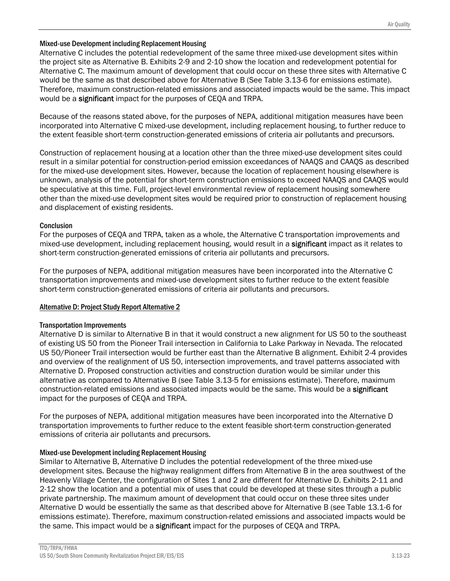#### Mixed-use Development including Replacement Housing

Alternative C includes the potential redevelopment of the same three mixed-use development sites within the project site as Alternative B. Exhibits 2-9 and 2-10 show the location and redevelopment potential for Alternative C. The maximum amount of development that could occur on these three sites with Alternative C would be the same as that described above for Alternative B (See Table 3.13-6 for emissions estimate). Therefore, maximum construction-related emissions and associated impacts would be the same. This impact would be a significant impact for the purposes of CEQA and TRPA.

Because of the reasons stated above, for the purposes of NEPA, additional mitigation measures have been incorporated into Alternative C mixed-use development, including replacement housing, to further reduce to the extent feasible short-term construction-generated emissions of criteria air pollutants and precursors.

Construction of replacement housing at a location other than the three mixed-use development sites could result in a similar potential for construction-period emission exceedances of NAAQS and CAAQS as described for the mixed-use development sites. However, because the location of replacement housing elsewhere is unknown, analysis of the potential for short-term construction emissions to exceed NAAQS and CAAQS would be speculative at this time. Full, project-level environmental review of replacement housing somewhere other than the mixed-use development sites would be required prior to construction of replacement housing and displacement of existing residents.

#### **Conclusion**

For the purposes of CEQA and TRPA, taken as a whole, the Alternative C transportation improvements and mixed-use development, including replacement housing, would result in a **significant** impact as it relates to short-term construction-generated emissions of criteria air pollutants and precursors.

For the purposes of NEPA, additional mitigation measures have been incorporated into the Alternative C transportation improvements and mixed-use development sites to further reduce to the extent feasible short-term construction-generated emissions of criteria air pollutants and precursors.

#### Alternative D: Project Study Report Alternative 2

#### Transportation Improvements

Alternative D is similar to Alternative B in that it would construct a new alignment for US 50 to the southeast of existing US 50 from the Pioneer Trail intersection in California to Lake Parkway in Nevada. The relocated US 50/Pioneer Trail intersection would be further east than the Alternative B alignment. Exhibit 2-4 provides and overview of the realignment of US 50, intersection improvements, and travel patterns associated with Alternative D. Proposed construction activities and construction duration would be similar under this alternative as compared to Alternative B (see Table 3.13-5 for emissions estimate). Therefore, maximum construction-related emissions and associated impacts would be the same. This would be a significant impact for the purposes of CEQA and TRPA.

For the purposes of NEPA, additional mitigation measures have been incorporated into the Alternative D transportation improvements to further reduce to the extent feasible short-term construction-generated emissions of criteria air pollutants and precursors.

#### Mixed-use Development including Replacement Housing

Similar to Alternative B, Alternative D includes the potential redevelopment of the three mixed-use development sites. Because the highway realignment differs from Alternative B in the area southwest of the Heavenly Village Center, the configuration of Sites 1 and 2 are different for Alternative D. Exhibits 2-11 and 2-12 show the location and a potential mix of uses that could be developed at these sites through a public private partnership. The maximum amount of development that could occur on these three sites under Alternative D would be essentially the same as that described above for Alternative B (see Table 13.1-6 for emissions estimate). Therefore, maximum construction-related emissions and associated impacts would be the same. This impact would be a significant impact for the purposes of CEOA and TRPA.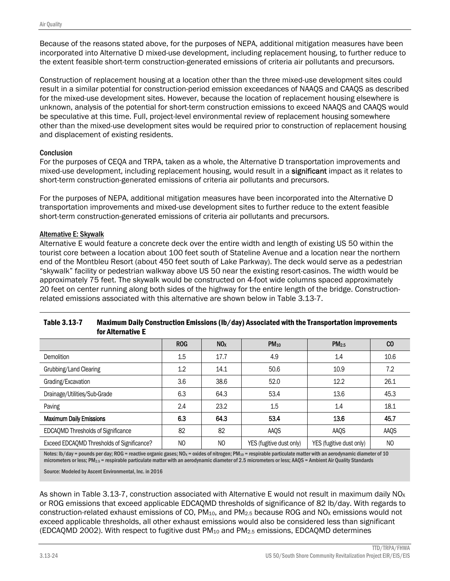Because of the reasons stated above, for the purposes of NEPA, additional mitigation measures have been incorporated into Alternative D mixed-use development, including replacement housing, to further reduce to the extent feasible short-term construction-generated emissions of criteria air pollutants and precursors.

Construction of replacement housing at a location other than the three mixed-use development sites could result in a similar potential for construction-period emission exceedances of NAAQS and CAAQS as described for the mixed-use development sites. However, because the location of replacement housing elsewhere is unknown, analysis of the potential for short-term construction emissions to exceed NAAQS and CAAQS would be speculative at this time. Full, project-level environmental review of replacement housing somewhere other than the mixed-use development sites would be required prior to construction of replacement housing and displacement of existing residents.

#### **Conclusion**

For the purposes of CEQA and TRPA, taken as a whole, the Alternative D transportation improvements and mixed-use development, including replacement housing, would result in a significant impact as it relates to short-term construction-generated emissions of criteria air pollutants and precursors.

For the purposes of NEPA, additional mitigation measures have been incorporated into the Alternative D transportation improvements and mixed-use development sites to further reduce to the extent feasible short-term construction-generated emissions of criteria air pollutants and precursors.

#### Alternative E: Skywalk

Alternative E would feature a concrete deck over the entire width and length of existing US 50 within the tourist core between a location about 100 feet south of Stateline Avenue and a location near the northern end of the Montbleu Resort (about 450 feet south of Lake Parkway). The deck would serve as a pedestrian "skywalk" facility or pedestrian walkway above US 50 near the existing resort-casinos. The width would be approximately 75 feet. The skywalk would be constructed on 4-foot wide columns spaced approximately 20 feet on center running along both sides of the highway for the entire length of the bridge. Constructionrelated emissions associated with this alternative are shown below in Table 3.13-7.

|                                            | <b>ROG</b>     | NO <sub>x</sub> | $PM_{10}$                | PM <sub>2.5</sub>        | $_{\rm CO}$    |
|--------------------------------------------|----------------|-----------------|--------------------------|--------------------------|----------------|
| Demolition                                 | 1.5            | 17.7            | 4.9                      | 1.4                      | 10.6           |
| Grubbing/Land Clearing                     | 1.2            | 14.1            | 50.6                     | 10.9                     | 7.2            |
| Grading/Excavation                         | 3.6            | 38.6            | 52.0                     | 12.2                     | 26.1           |
| Drainage/Utilities/Sub-Grade               | 6.3            | 64.3            | 53.4                     | 13.6                     | 45.3           |
| Paving                                     | 2.4            | 23.2            | 1.5                      | 1.4                      | 18.1           |
| <b>Maximum Daily Emissions</b>             | 6.3            | 64.3            | 53.4                     | 13.6                     | 45.7           |
| EDCAQMD Thresholds of Significance         | 82             | 82              | AAQS                     | AAQS                     | AAQS           |
| Exceed EDCAQMD Thresholds of Significance? | N <sub>O</sub> | N <sub>O</sub>  | YES (fugitive dust only) | YES (fugitive dust only) | N <sub>0</sub> |

| <b>Table 3.13-7</b> | Maximum Daily Construction Emissions (lb/day) Associated with the Transportation improvements |
|---------------------|-----------------------------------------------------------------------------------------------|
|                     | for Alternative E                                                                             |

Notes: Ib/day = pounds per day; ROG = reactive organic gases; NO<sub>X</sub> = oxides of nitrogen; PM<sub>10</sub> = respirable particulate matter with an aerodynamic diameter of 10 micrometers or less; PM2.5 = respirable particulate matter with an aerodynamic diameter of 2.5 micrometers or less; AAQS = Ambient Air Quality Standards

Source: Modeled by Ascent Environmental, Inc. in 2016

As shown in Table 3.13-7, construction associated with Alternative E would not result in maximum daily  $NO<sub>x</sub>$ or ROG emissions that exceed applicable EDCAQMD thresholds of significance of 82 lb/day. With regards to construction-related exhaust emissions of CO, PM<sub>10</sub>, and PM<sub>2.5</sub> because ROG and NO<sub>x</sub> emissions would not exceed applicable thresholds, all other exhaust emissions would also be considered less than significant (EDCAOMD 2002). With respect to fugitive dust  $PM_{10}$  and  $PM_{2.5}$  emissions, EDCAOMD determines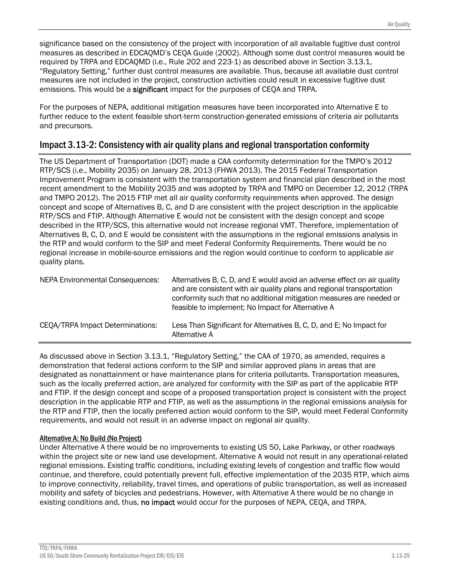significance based on the consistency of the project with incorporation of all available fugitive dust control measures as described in EDCAQMD's CEQA Guide (2002). Although some dust control measures would be required by TRPA and EDCAQMD (i.e., Rule 202 and 223-1) as described above in Section 3.13.1, "Regulatory Setting," further dust control measures are available. Thus, because all available dust control measures are not included in the project, construction activities could result in excessive fugitive dust emissions. This would be a **significant** impact for the purposes of CEQA and TRPA.

For the purposes of NEPA, additional mitigation measures have been incorporated into Alternative E to further reduce to the extent feasible short-term construction-generated emissions of criteria air pollutants and precursors.

# Impact 3.13-2: Consistency with air quality plans and regional transportation conformity

The US Department of Transportation (DOT) made a CAA conformity determination for the TMPO's 2012 RTP/SCS (i.e., Mobility 2035) on January 28, 2013 (FHWA 2013). The 2015 Federal Transportation Improvement Program is consistent with the transportation system and financial plan described in the most recent amendment to the Mobility 2035 and was adopted by TRPA and TMPO on December 12, 2012 (TRPA and TMPO 2012). The 2015 FTIP met all air quality conformity requirements when approved. The design concept and scope of Alternatives B, C, and D are consistent with the project description in the applicable RTP/SCS and FTIP. Although Alternative E would not be consistent with the design concept and scope described in the RTP/SCS, this alternative would not increase regional VMT. Therefore, implementation of Alternatives B, C, D, and E would be consistent with the assumptions in the regional emissions analysis in the RTP and would conform to the SIP and meet Federal Conformity Requirements. There would be no regional increase in mobile-source emissions and the region would continue to conform to applicable air quality plans.

| <b>NEPA Environmental Consequences:</b> | Alternatives B, C, D, and E would avoid an adverse effect on air quality<br>and are consistent with air quality plans and regional transportation<br>conformity such that no additional mitigation measures are needed or<br>feasible to implement; No Impact for Alternative A |
|-----------------------------------------|---------------------------------------------------------------------------------------------------------------------------------------------------------------------------------------------------------------------------------------------------------------------------------|
| CEQA/TRPA Impact Determinations:        | Less Than Significant for Alternatives B, C, D, and E; No Impact for<br>Alternative A                                                                                                                                                                                           |

As discussed above in Section 3.13.1, "Regulatory Setting," the CAA of 1970, as amended, requires a demonstration that federal actions conform to the SIP and similar approved plans in areas that are designated as nonattainment or have maintenance plans for criteria pollutants. Transportation measures, such as the locally preferred action, are analyzed for conformity with the SIP as part of the applicable RTP and FTIP. If the design concept and scope of a proposed transportation project is consistent with the project description in the applicable RTP and FTIP, as well as the assumptions in the regional emissions analysis for the RTP and FTIP, then the locally preferred action would conform to the SIP, would meet Federal Conformity requirements, and would not result in an adverse impact on regional air quality.

### Alternative A: No Build (No Project)

Under Alternative A there would be no improvements to existing US 50, Lake Parkway, or other roadways within the project site or new land use development. Alternative A would not result in any operational-related regional emissions. Existing traffic conditions, including existing levels of congestion and traffic flow would continue, and therefore, could potentially prevent full, effective implementation of the 2035 RTP, which aims to improve connectivity, reliability, travel times, and operations of public transportation, as well as increased mobility and safety of bicycles and pedestrians. However, with Alternative A there would be no change in existing conditions and, thus, no impact would occur for the purposes of NEPA, CEQA, and TRPA.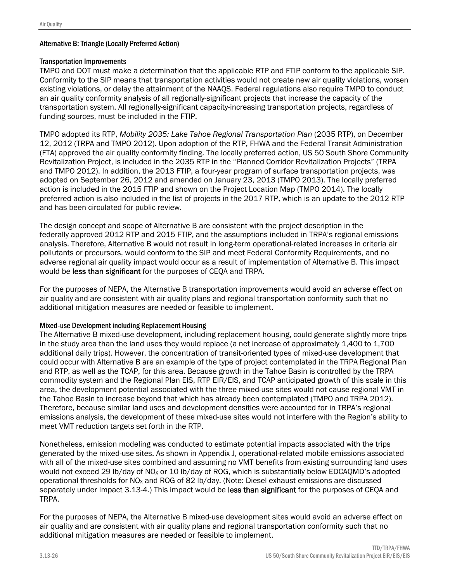#### Alternative B: Triangle (Locally Preferred Action)

#### Transportation Improvements

TMPO and DOT must make a determination that the applicable RTP and FTIP conform to the applicable SIP. Conformity to the SIP means that transportation activities would not create new air quality violations, worsen existing violations, or delay the attainment of the NAAQS. Federal regulations also require TMPO to conduct an air quality conformity analysis of all regionally-significant projects that increase the capacity of the transportation system. All regionally-significant capacity-increasing transportation projects, regardless of funding sources, must be included in the FTIP.

TMPO adopted its RTP, *Mobility 2035: Lake Tahoe Regional Transportation Plan* (2035 RTP), on December 12, 2012 (TRPA and TMPO 2012). Upon adoption of the RTP, FHWA and the Federal Transit Administration (FTA) approved the air quality conformity finding. The locally preferred action, US 50 South Shore Community Revitalization Project, is included in the 2035 RTP in the "Planned Corridor Revitalization Projects" (TRPA and TMPO 2012). In addition, the 2013 FTIP, a four-year program of surface transportation projects, was adopted on September 26, 2012 and amended on January 23, 2013 (TMPO 2013). The locally preferred action is included in the 2015 FTIP and shown on the Project Location Map (TMPO 2014). The locally preferred action is also included in the list of projects in the 2017 RTP, which is an update to the 2012 RTP and has been circulated for public review.

The design concept and scope of Alternative B are consistent with the project description in the federally approved 2012 RTP and 2015 FTIP, and the assumptions included in TRPA's regional emissions analysis. Therefore, Alternative B would not result in long-term operational-related increases in criteria air pollutants or precursors, would conform to the SIP and meet Federal Conformity Requirements, and no adverse regional air quality impact would occur as a result of implementation of Alternative B. This impact would be less than significant for the purposes of CEQA and TRPA.

For the purposes of NEPA, the Alternative B transportation improvements would avoid an adverse effect on air quality and are consistent with air quality plans and regional transportation conformity such that no additional mitigation measures are needed or feasible to implement.

#### Mixed-use Development including Replacement Housing

The Alternative B mixed-use development, including replacement housing, could generate slightly more trips in the study area than the land uses they would replace (a net increase of approximately 1,400 to 1,700 additional daily trips). However, the concentration of transit-oriented types of mixed-use development that could occur with Alternative B are an example of the type of project contemplated in the TRPA Regional Plan and RTP, as well as the TCAP, for this area. Because growth in the Tahoe Basin is controlled by the TRPA commodity system and the Regional Plan EIS, RTP EIR/EIS, and TCAP anticipated growth of this scale in this area, the development potential associated with the three mixed-use sites would not cause regional VMT in the Tahoe Basin to increase beyond that which has already been contemplated (TMPO and TRPA 2012). Therefore, because similar land uses and development densities were accounted for in TRPA's regional emissions analysis, the development of these mixed-use sites would not interfere with the Region's ability to meet VMT reduction targets set forth in the RTP.

Nonetheless, emission modeling was conducted to estimate potential impacts associated with the trips generated by the mixed-use sites. As shown in Appendix J, operational-related mobile emissions associated with all of the mixed-use sites combined and assuming no VMT benefits from existing surrounding land uses would not exceed 29 lb/day of NO<sub>x</sub> or 10 lb/day of ROG, which is substantially below EDCAQMD's adopted operational thresholds for NO<sub>x</sub> and ROG of 82 lb/day. (Note: Diesel exhaust emissions are discussed separately under Impact 3.13-4.) This impact would be less than significant for the purposes of CEQA and TRPA.

For the purposes of NEPA, the Alternative B mixed-use development sites would avoid an adverse effect on air quality and are consistent with air quality plans and regional transportation conformity such that no additional mitigation measures are needed or feasible to implement.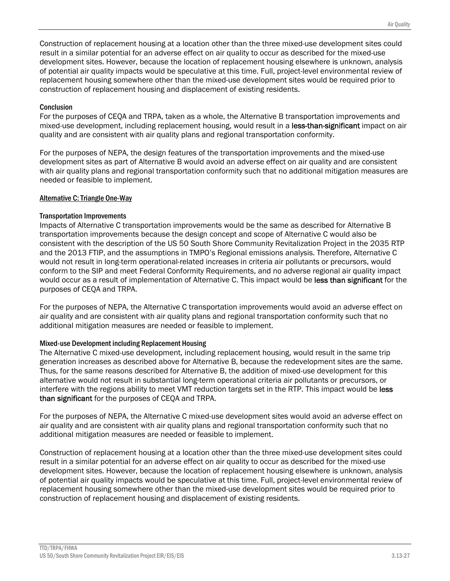Construction of replacement housing at a location other than the three mixed-use development sites could result in a similar potential for an adverse effect on air quality to occur as described for the mixed-use development sites. However, because the location of replacement housing elsewhere is unknown, analysis of potential air quality impacts would be speculative at this time. Full, project-level environmental review of replacement housing somewhere other than the mixed-use development sites would be required prior to construction of replacement housing and displacement of existing residents.

#### **Conclusion**

For the purposes of CEQA and TRPA, taken as a whole, the Alternative B transportation improvements and mixed-use development, including replacement housing, would result in a less-than-significant impact on air quality and are consistent with air quality plans and regional transportation conformity.

For the purposes of NEPA, the design features of the transportation improvements and the mixed-use development sites as part of Alternative B would avoid an adverse effect on air quality and are consistent with air quality plans and regional transportation conformity such that no additional mitigation measures are needed or feasible to implement.

#### Alternative C: Triangle One-Way

#### Transportation Improvements

Impacts of Alternative C transportation improvements would be the same as described for Alternative B transportation improvements because the design concept and scope of Alternative C would also be consistent with the description of the US 50 South Shore Community Revitalization Project in the 2035 RTP and the 2013 FTIP, and the assumptions in TMPO's Regional emissions analysis. Therefore, Alternative C would not result in long-term operational-related increases in criteria air pollutants or precursors, would conform to the SIP and meet Federal Conformity Requirements, and no adverse regional air quality impact would occur as a result of implementation of Alternative C. This impact would be less than significant for the purposes of CEQA and TRPA.

For the purposes of NEPA, the Alternative C transportation improvements would avoid an adverse effect on air quality and are consistent with air quality plans and regional transportation conformity such that no additional mitigation measures are needed or feasible to implement.

#### Mixed-use Development including Replacement Housing

The Alternative C mixed-use development, including replacement housing, would result in the same trip generation increases as described above for Alternative B, because the redevelopment sites are the same. Thus, for the same reasons described for Alternative B, the addition of mixed-use development for this alternative would not result in substantial long-term operational criteria air pollutants or precursors, or interfere with the regions ability to meet VMT reduction targets set in the RTP. This impact would be less than significant for the purposes of CEQA and TRPA.

For the purposes of NEPA, the Alternative C mixed-use development sites would avoid an adverse effect on air quality and are consistent with air quality plans and regional transportation conformity such that no additional mitigation measures are needed or feasible to implement.

Construction of replacement housing at a location other than the three mixed-use development sites could result in a similar potential for an adverse effect on air quality to occur as described for the mixed-use development sites. However, because the location of replacement housing elsewhere is unknown, analysis of potential air quality impacts would be speculative at this time. Full, project-level environmental review of replacement housing somewhere other than the mixed-use development sites would be required prior to construction of replacement housing and displacement of existing residents.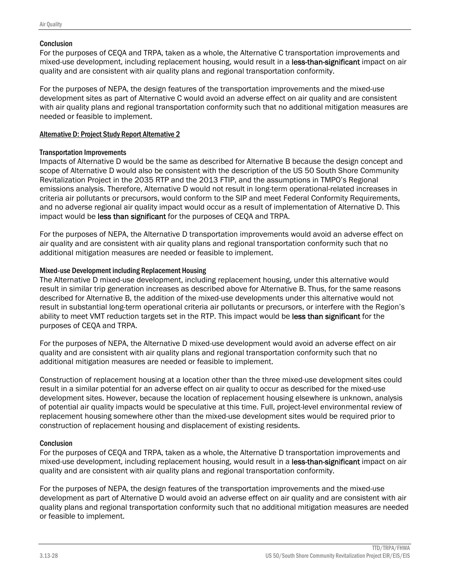#### **Conclusion**

For the purposes of CEQA and TRPA, taken as a whole, the Alternative C transportation improvements and mixed-use development, including replacement housing, would result in a less-than-significant impact on air quality and are consistent with air quality plans and regional transportation conformity.

For the purposes of NEPA, the design features of the transportation improvements and the mixed-use development sites as part of Alternative C would avoid an adverse effect on air quality and are consistent with air quality plans and regional transportation conformity such that no additional mitigation measures are needed or feasible to implement.

#### Alternative D: Project Study Report Alternative 2

#### Transportation Improvements

Impacts of Alternative D would be the same as described for Alternative B because the design concept and scope of Alternative D would also be consistent with the description of the US 50 South Shore Community Revitalization Project in the 2035 RTP and the 2013 FTIP, and the assumptions in TMPO's Regional emissions analysis. Therefore, Alternative D would not result in long-term operational-related increases in criteria air pollutants or precursors, would conform to the SIP and meet Federal Conformity Requirements, and no adverse regional air quality impact would occur as a result of implementation of Alternative D. This impact would be less than significant for the purposes of CEQA and TRPA.

For the purposes of NEPA, the Alternative D transportation improvements would avoid an adverse effect on air quality and are consistent with air quality plans and regional transportation conformity such that no additional mitigation measures are needed or feasible to implement.

#### Mixed-use Development including Replacement Housing

The Alternative D mixed-use development, including replacement housing, under this alternative would result in similar trip generation increases as described above for Alternative B. Thus, for the same reasons described for Alternative B, the addition of the mixed-use developments under this alternative would not result in substantial long-term operational criteria air pollutants or precursors, or interfere with the Region's ability to meet VMT reduction targets set in the RTP. This impact would be less than significant for the purposes of CEQA and TRPA.

For the purposes of NEPA, the Alternative D mixed-use development would avoid an adverse effect on air quality and are consistent with air quality plans and regional transportation conformity such that no additional mitigation measures are needed or feasible to implement.

Construction of replacement housing at a location other than the three mixed-use development sites could result in a similar potential for an adverse effect on air quality to occur as described for the mixed-use development sites. However, because the location of replacement housing elsewhere is unknown, analysis of potential air quality impacts would be speculative at this time. Full, project-level environmental review of replacement housing somewhere other than the mixed-use development sites would be required prior to construction of replacement housing and displacement of existing residents.

#### **Conclusion**

For the purposes of CEQA and TRPA, taken as a whole, the Alternative D transportation improvements and mixed-use development, including replacement housing, would result in a less-than-significant impact on air quality and are consistent with air quality plans and regional transportation conformity.

For the purposes of NEPA, the design features of the transportation improvements and the mixed-use development as part of Alternative D would avoid an adverse effect on air quality and are consistent with air quality plans and regional transportation conformity such that no additional mitigation measures are needed or feasible to implement.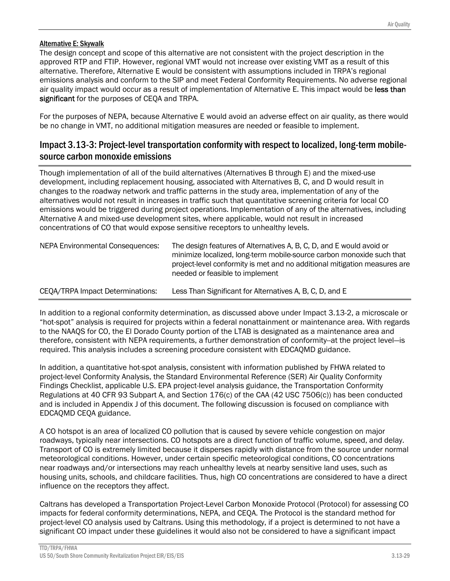#### Alternative E: Skywalk

The design concept and scope of this alternative are not consistent with the project description in the approved RTP and FTIP. However, regional VMT would not increase over existing VMT as a result of this alternative. Therefore, Alternative E would be consistent with assumptions included in TRPA's regional emissions analysis and conform to the SIP and meet Federal Conformity Requirements. No adverse regional air quality impact would occur as a result of implementation of Alternative E. This impact would be less than significant for the purposes of CEOA and TRPA.

For the purposes of NEPA, because Alternative E would avoid an adverse effect on air quality, as there would be no change in VMT, no additional mitigation measures are needed or feasible to implement.

## Impact 3.13-3: Project-level transportation conformity with respect to localized, long-term mobilesource carbon monoxide emissions

Though implementation of all of the build alternatives (Alternatives B through E) and the mixed-use development, including replacement housing, associated with Alternatives B, C, and D would result in changes to the roadway network and traffic patterns in the study area, implementation of any of the alternatives would not result in increases in traffic such that quantitative screening criteria for local CO emissions would be triggered during project operations. Implementation of any of the alternatives, including Alternative A and mixed-use development sites, where applicable, would not result in increased concentrations of CO that would expose sensitive receptors to unhealthy levels.

| <b>NEPA Environmental Consequences:</b> | The design features of Alternatives A, B, C, D, and E would avoid or<br>minimize localized, long-term mobile-source carbon monoxide such that<br>project-level conformity is met and no additional mitigation measures are<br>needed or feasible to implement |
|-----------------------------------------|---------------------------------------------------------------------------------------------------------------------------------------------------------------------------------------------------------------------------------------------------------------|
| CEQA/TRPA Impact Determinations:        | Less Than Significant for Alternatives A, B, C, D, and E                                                                                                                                                                                                      |

In addition to a regional conformity determination, as discussed above under Impact 3.13-2, a microscale or "hot-spot" analysis is required for projects within a federal nonattainment or maintenance area. With regards to the NAAQS for CO, the El Dorado County portion of the LTAB is designated as a maintenance area and therefore, consistent with NEPA requirements, a further demonstration of conformity--at the project level—is required. This analysis includes a screening procedure consistent with EDCAQMD guidance.

In addition, a quantitative hot-spot analysis, consistent with information published by FHWA related to project-level Conformity Analysis, the Standard Environmental Reference (SER) Air Quality Conformity Findings Checklist, applicable U.S. EPA project-level analysis guidance, the Transportation Conformity Regulations at 40 CFR 93 Subpart A, and Section 176(c) of the CAA (42 USC 7506(c)) has been conducted and is included in Appendix J of this document. The following discussion is focused on compliance with EDCAQMD CEQA guidance.

A CO hotspot is an area of localized CO pollution that is caused by severe vehicle congestion on major roadways, typically near intersections. CO hotspots are a direct function of traffic volume, speed, and delay. Transport of CO is extremely limited because it disperses rapidly with distance from the source under normal meteorological conditions. However, under certain specific meteorological conditions, CO concentrations near roadways and/or intersections may reach unhealthy levels at nearby sensitive land uses, such as housing units, schools, and childcare facilities. Thus, high CO concentrations are considered to have a direct influence on the receptors they affect.

Caltrans has developed a Transportation Project-Level Carbon Monoxide Protocol (Protocol) for assessing CO impacts for federal conformity determinations, NEPA, and CEQA. The Protocol is the standard method for project-level CO analysis used by Caltrans. Using this methodology, if a project is determined to not have a significant CO impact under these guidelines it would also not be considered to have a significant impact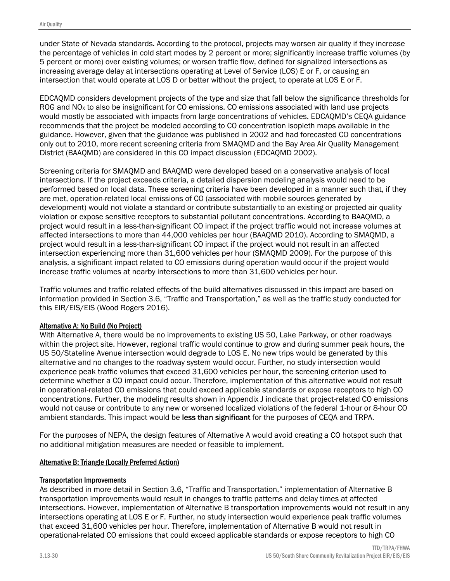under State of Nevada standards. According to the protocol, projects may worsen air quality if they increase the percentage of vehicles in cold start modes by 2 percent or more; significantly increase traffic volumes (by 5 percent or more) over existing volumes; or worsen traffic flow, defined for signalized intersections as increasing average delay at intersections operating at Level of Service (LOS) E or F, or causing an intersection that would operate at LOS D or better without the project, to operate at LOS E or F.

EDCAQMD considers development projects of the type and size that fall below the significance thresholds for ROG and NO<sub>x</sub> to also be insignificant for CO emissions. CO emissions associated with land use projects would mostly be associated with impacts from large concentrations of vehicles. EDCAQMD's CEQA guidance recommends that the project be modeled according to CO concentration isopleth maps available in the guidance. However, given that the guidance was published in 2002 and had forecasted CO concentrations only out to 2010, more recent screening criteria from SMAQMD and the Bay Area Air Quality Management District (BAAQMD) are considered in this CO impact discussion (EDCAQMD 2002).

Screening criteria for SMAQMD and BAAQMD were developed based on a conservative analysis of local intersections. If the project exceeds criteria, a detailed dispersion modeling analysis would need to be performed based on local data. These screening criteria have been developed in a manner such that, if they are met, operation-related local emissions of CO (associated with mobile sources generated by development) would not violate a standard or contribute substantially to an existing or projected air quality violation or expose sensitive receptors to substantial pollutant concentrations. According to BAAQMD, a project would result in a less-than-significant CO impact if the project traffic would not increase volumes at affected intersections to more than 44,000 vehicles per hour (BAAQMD 2010). According to SMAQMD, a project would result in a less-than-significant CO impact if the project would not result in an affected intersection experiencing more than 31,600 vehicles per hour (SMAQMD 2009). For the purpose of this analysis, a significant impact related to CO emissions during operation would occur if the project would increase traffic volumes at nearby intersections to more than 31,600 vehicles per hour.

Traffic volumes and traffic-related effects of the build alternatives discussed in this impact are based on information provided in Section 3.6, "Traffic and Transportation," as well as the traffic study conducted for this EIR/EIS/EIS (Wood Rogers 2016).

#### Alternative A: No Build (No Project)

With Alternative A, there would be no improvements to existing US 50, Lake Parkway, or other roadways within the project site. However, regional traffic would continue to grow and during summer peak hours, the US 50/Stateline Avenue intersection would degrade to LOS E. No new trips would be generated by this alternative and no changes to the roadway system would occur. Further, no study intersection would experience peak traffic volumes that exceed 31,600 vehicles per hour, the screening criterion used to determine whether a CO impact could occur. Therefore, implementation of this alternative would not result in operational-related CO emissions that could exceed applicable standards or expose receptors to high CO concentrations. Further, the modeling results shown in Appendix J indicate that project-related CO emissions would not cause or contribute to any new or worsened localized violations of the federal 1-hour or 8-hour CO ambient standards. This impact would be less than significant for the purposes of CEQA and TRPA.

For the purposes of NEPA, the design features of Alternative A would avoid creating a CO hotspot such that no additional mitigation measures are needed or feasible to implement.

### Alternative B: Triangle (Locally Preferred Action)

#### Transportation Improvements

As described in more detail in Section 3.6, "Traffic and Transportation," implementation of Alternative B transportation improvements would result in changes to traffic patterns and delay times at affected intersections. However, implementation of Alternative B transportation improvements would not result in any intersections operating at LOS E or F. Further, no study intersection would experience peak traffic volumes that exceed 31,600 vehicles per hour. Therefore, implementation of Alternative B would not result in operational-related CO emissions that could exceed applicable standards or expose receptors to high CO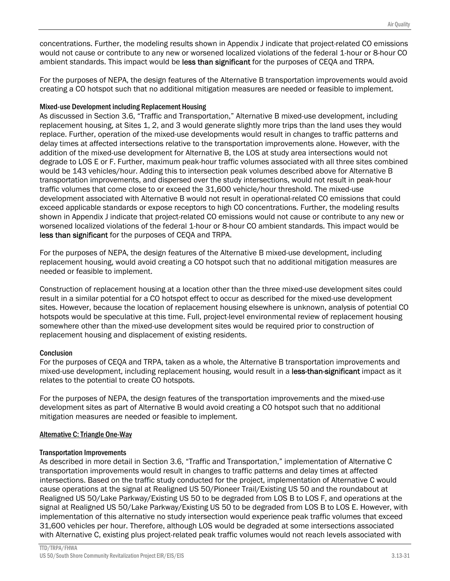concentrations. Further, the modeling results shown in Appendix J indicate that project-related CO emissions would not cause or contribute to any new or worsened localized violations of the federal 1-hour or 8-hour CO ambient standards. This impact would be less than significant for the purposes of CEOA and TRPA.

For the purposes of NEPA, the design features of the Alternative B transportation improvements would avoid creating a CO hotspot such that no additional mitigation measures are needed or feasible to implement.

#### Mixed-use Development including Replacement Housing

As discussed in Section 3.6, "Traffic and Transportation," Alternative B mixed-use development, including replacement housing, at Sites 1, 2, and 3 would generate slightly more trips than the land uses they would replace. Further, operation of the mixed-use developments would result in changes to traffic patterns and delay times at affected intersections relative to the transportation improvements alone. However, with the addition of the mixed-use development for Alternative B, the LOS at study area intersections would not degrade to LOS E or F. Further, maximum peak-hour traffic volumes associated with all three sites combined would be 143 vehicles/hour. Adding this to intersection peak volumes described above for Alternative B transportation improvements, and dispersed over the study intersections, would not result in peak-hour traffic volumes that come close to or exceed the 31,600 vehicle/hour threshold. The mixed-use development associated with Alternative B would not result in operational-related CO emissions that could exceed applicable standards or expose receptors to high CO concentrations. Further, the modeling results shown in Appendix J indicate that project-related CO emissions would not cause or contribute to any new or worsened localized violations of the federal 1-hour or 8-hour CO ambient standards. This impact would be less than significant for the purposes of CEQA and TRPA.

For the purposes of NEPA, the design features of the Alternative B mixed-use development, including replacement housing, would avoid creating a CO hotspot such that no additional mitigation measures are needed or feasible to implement.

Construction of replacement housing at a location other than the three mixed-use development sites could result in a similar potential for a CO hotspot effect to occur as described for the mixed-use development sites. However, because the location of replacement housing elsewhere is unknown, analysis of potential CO hotspots would be speculative at this time. Full, project-level environmental review of replacement housing somewhere other than the mixed-use development sites would be required prior to construction of replacement housing and displacement of existing residents.

#### **Conclusion**

For the purposes of CEQA and TRPA, taken as a whole, the Alternative B transportation improvements and mixed-use development, including replacement housing, would result in a less-than-significant impact as it relates to the potential to create CO hotspots.

For the purposes of NEPA, the design features of the transportation improvements and the mixed-use development sites as part of Alternative B would avoid creating a CO hotspot such that no additional mitigation measures are needed or feasible to implement.

#### Alternative C: Triangle One-Way

#### Transportation Improvements

As described in more detail in Section 3.6, "Traffic and Transportation," implementation of Alternative C transportation improvements would result in changes to traffic patterns and delay times at affected intersections. Based on the traffic study conducted for the project, implementation of Alternative C would cause operations at the signal at Realigned US 50/Pioneer Trail/Existing US 50 and the roundabout at Realigned US 50/Lake Parkway/Existing US 50 to be degraded from LOS B to LOS F, and operations at the signal at Realigned US 50/Lake Parkway/Existing US 50 to be degraded from LOS B to LOS E. However, with implementation of this alternative no study intersection would experience peak traffic volumes that exceed 31,600 vehicles per hour. Therefore, although LOS would be degraded at some intersections associated with Alternative C, existing plus project-related peak traffic volumes would not reach levels associated with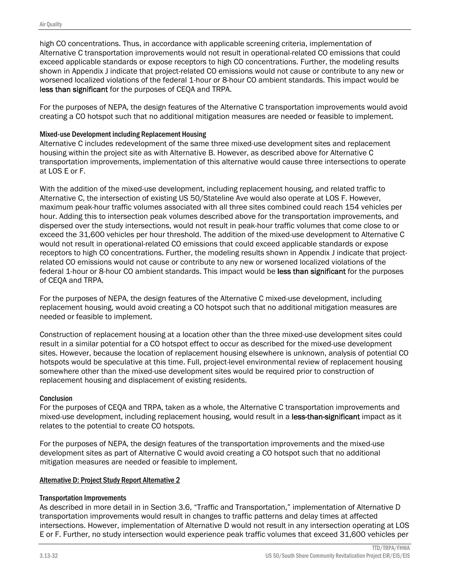high CO concentrations. Thus, in accordance with applicable screening criteria, implementation of Alternative C transportation improvements would not result in operational-related CO emissions that could exceed applicable standards or expose receptors to high CO concentrations. Further, the modeling results shown in Appendix J indicate that project-related CO emissions would not cause or contribute to any new or worsened localized violations of the federal 1-hour or 8-hour CO ambient standards. This impact would be less than significant for the purposes of CEQA and TRPA.

For the purposes of NEPA, the design features of the Alternative C transportation improvements would avoid creating a CO hotspot such that no additional mitigation measures are needed or feasible to implement.

#### Mixed-use Development including Replacement Housing

Alternative C includes redevelopment of the same three mixed-use development sites and replacement housing within the project site as with Alternative B. However, as described above for Alternative C transportation improvements, implementation of this alternative would cause three intersections to operate at LOS E or F.

With the addition of the mixed-use development, including replacement housing, and related traffic to Alternative C, the intersection of existing US 50/Stateline Ave would also operate at LOS F. However, maximum peak-hour traffic volumes associated with all three sites combined could reach 154 vehicles per hour. Adding this to intersection peak volumes described above for the transportation improvements, and dispersed over the study intersections, would not result in peak-hour traffic volumes that come close to or exceed the 31,600 vehicles per hour threshold. The addition of the mixed-use development to Alternative C would not result in operational-related CO emissions that could exceed applicable standards or expose receptors to high CO concentrations. Further, the modeling results shown in Appendix J indicate that projectrelated CO emissions would not cause or contribute to any new or worsened localized violations of the federal 1-hour or 8-hour CO ambient standards. This impact would be less than significant for the purposes of CEQA and TRPA.

For the purposes of NEPA, the design features of the Alternative C mixed-use development, including replacement housing, would avoid creating a CO hotspot such that no additional mitigation measures are needed or feasible to implement.

Construction of replacement housing at a location other than the three mixed-use development sites could result in a similar potential for a CO hotspot effect to occur as described for the mixed-use development sites. However, because the location of replacement housing elsewhere is unknown, analysis of potential CO hotspots would be speculative at this time. Full, project-level environmental review of replacement housing somewhere other than the mixed-use development sites would be required prior to construction of replacement housing and displacement of existing residents.

#### **Conclusion**

For the purposes of CEQA and TRPA, taken as a whole, the Alternative C transportation improvements and mixed-use development, including replacement housing, would result in a less-than-significant impact as it relates to the potential to create CO hotspots.

For the purposes of NEPA, the design features of the transportation improvements and the mixed-use development sites as part of Alternative C would avoid creating a CO hotspot such that no additional mitigation measures are needed or feasible to implement.

#### Alternative D: Project Study Report Alternative 2

#### Transportation Improvements

As described in more detail in in Section 3.6, "Traffic and Transportation," implementation of Alternative D transportation improvements would result in changes to traffic patterns and delay times at affected intersections. However, implementation of Alternative D would not result in any intersection operating at LOS E or F. Further, no study intersection would experience peak traffic volumes that exceed 31,600 vehicles per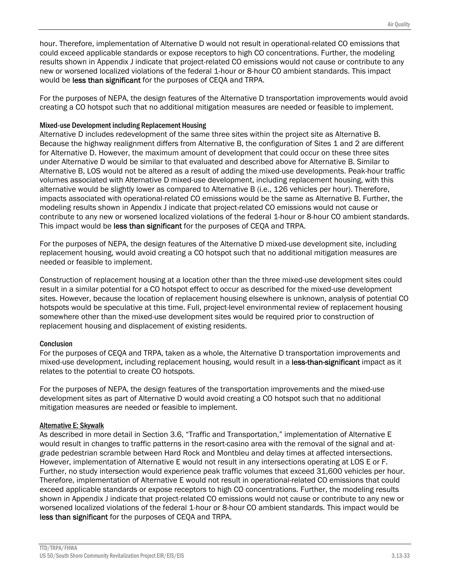hour. Therefore, implementation of Alternative D would not result in operational-related CO emissions that could exceed applicable standards or expose receptors to high CO concentrations. Further, the modeling results shown in Appendix J indicate that project-related CO emissions would not cause or contribute to any new or worsened localized violations of the federal 1-hour or 8-hour CO ambient standards. This impact would be less than significant for the purposes of CEQA and TRPA.

For the purposes of NEPA, the design features of the Alternative D transportation improvements would avoid creating a CO hotspot such that no additional mitigation measures are needed or feasible to implement.

#### Mixed-use Development including Replacement Housing

Alternative D includes redevelopment of the same three sites within the project site as Alternative B. Because the highway realignment differs from Alternative B, the configuration of Sites 1 and 2 are different for Alternative D. However, the maximum amount of development that could occur on these three sites under Alternative D would be similar to that evaluated and described above for Alternative B. Similar to Alternative B, LOS would not be altered as a result of adding the mixed-use developments. Peak-hour traffic volumes associated with Alternative D mixed-use development, including replacement housing, with this alternative would be slightly lower as compared to Alternative B (i.e., 126 vehicles per hour). Therefore, impacts associated with operational-related CO emissions would be the same as Alternative B. Further, the modeling results shown in Appendix J indicate that project-related CO emissions would not cause or contribute to any new or worsened localized violations of the federal 1-hour or 8-hour CO ambient standards. This impact would be less than significant for the purposes of CEQA and TRPA.

For the purposes of NEPA, the design features of the Alternative D mixed-use development site, including replacement housing, would avoid creating a CO hotspot such that no additional mitigation measures are needed or feasible to implement.

Construction of replacement housing at a location other than the three mixed-use development sites could result in a similar potential for a CO hotspot effect to occur as described for the mixed-use development sites. However, because the location of replacement housing elsewhere is unknown, analysis of potential CO hotspots would be speculative at this time. Full, project-level environmental review of replacement housing somewhere other than the mixed-use development sites would be required prior to construction of replacement housing and displacement of existing residents.

#### **Conclusion**

For the purposes of CEQA and TRPA, taken as a whole, the Alternative D transportation improvements and mixed-use development, including replacement housing, would result in a less-than-significant impact as it relates to the potential to create CO hotspots.

For the purposes of NEPA, the design features of the transportation improvements and the mixed-use development sites as part of Alternative D would avoid creating a CO hotspot such that no additional mitigation measures are needed or feasible to implement.

#### Alternative E: Skywalk

As described in more detail in Section 3.6, "Traffic and Transportation," implementation of Alternative E would result in changes to traffic patterns in the resort-casino area with the removal of the signal and atgrade pedestrian scramble between Hard Rock and Montbleu and delay times at affected intersections. However, implementation of Alternative E would not result in any intersections operating at LOS E or F. Further, no study intersection would experience peak traffic volumes that exceed 31,600 vehicles per hour. Therefore, implementation of Alternative E would not result in operational-related CO emissions that could exceed applicable standards or expose receptors to high CO concentrations. Further, the modeling results shown in Appendix J indicate that project-related CO emissions would not cause or contribute to any new or worsened localized violations of the federal 1-hour or 8-hour CO ambient standards. This impact would be less than significant for the purposes of CEQA and TRPA.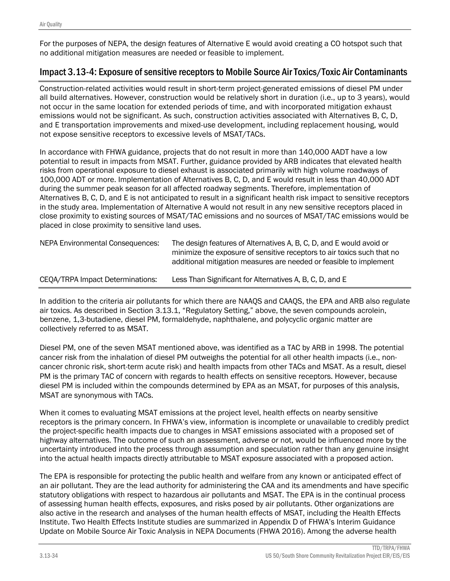For the purposes of NEPA, the design features of Alternative E would avoid creating a CO hotspot such that no additional mitigation measures are needed or feasible to implement.

## Impact 3.13-4: Exposure of sensitive receptors to Mobile Source Air Toxics/Toxic Air Contaminants

Construction-related activities would result in short-term project-generated emissions of diesel PM under all build alternatives. However, construction would be relatively short in duration (i.e., up to 3 years), would not occur in the same location for extended periods of time, and with incorporated mitigation exhaust emissions would not be significant. As such, construction activities associated with Alternatives B, C, D, and E transportation improvements and mixed-use development, including replacement housing, would not expose sensitive receptors to excessive levels of MSAT/TACs.

In accordance with FHWA guidance, projects that do not result in more than 140,000 AADT have a low potential to result in impacts from MSAT. Further, guidance provided by ARB indicates that elevated health risks from operational exposure to diesel exhaust is associated primarily with high volume roadways of 100,000 ADT or more. Implementation of Alternatives B, C, D, and E would result in less than 40,000 ADT during the summer peak season for all affected roadway segments. Therefore, implementation of Alternatives B, C, D, and E is not anticipated to result in a significant health risk impact to sensitive receptors in the study area. Implementation of Alternative A would not result in any new sensitive receptors placed in close proximity to existing sources of MSAT/TAC emissions and no sources of MSAT/TAC emissions would be placed in close proximity to sensitive land uses.

| NEPA Environmental Consequences: | The design features of Alternatives A, B, C, D, and E would avoid or<br>minimize the exposure of sensitive receptors to air toxics such that no<br>additional mitigation measures are needed or feasible to implement |
|----------------------------------|-----------------------------------------------------------------------------------------------------------------------------------------------------------------------------------------------------------------------|
| CEQA/TRPA Impact Determinations: | Less Than Significant for Alternatives A, B, C, D, and E                                                                                                                                                              |

In addition to the criteria air pollutants for which there are NAAQS and CAAQS, the EPA and ARB also regulate air toxics. As described in Section 3.13.1, "Regulatory Setting," above, the seven compounds acrolein, benzene, 1,3-butadiene, diesel PM, formaldehyde, naphthalene, and polycyclic organic matter are collectively referred to as MSAT.

Diesel PM, one of the seven MSAT mentioned above, was identified as a TAC by ARB in 1998. The potential cancer risk from the inhalation of diesel PM outweighs the potential for all other health impacts (i.e., noncancer chronic risk, short-term acute risk) and health impacts from other TACs and MSAT. As a result, diesel PM is the primary TAC of concern with regards to health effects on sensitive receptors. However, because diesel PM is included within the compounds determined by EPA as an MSAT, for purposes of this analysis, MSAT are synonymous with TACs.

When it comes to evaluating MSAT emissions at the project level, health effects on nearby sensitive receptors is the primary concern. In FHWA's view, information is incomplete or unavailable to credibly predict the project-specific health impacts due to changes in MSAT emissions associated with a proposed set of highway alternatives. The outcome of such an assessment, adverse or not, would be influenced more by the uncertainty introduced into the process through assumption and speculation rather than any genuine insight into the actual health impacts directly attributable to MSAT exposure associated with a proposed action.

The EPA is responsible for protecting the public health and welfare from any known or anticipated effect of an air pollutant. They are the lead authority for administering the CAA and its amendments and have specific statutory obligations with respect to hazardous air pollutants and MSAT. The EPA is in the continual process of assessing human health effects, exposures, and risks posed by air pollutants. Other organizations are also active in the research and analyses of the human health effects of MSAT, including the Health Effects Institute. Two Health Effects Institute studies are summarized in Appendix D of FHWA's Interim Guidance Update on Mobile Source Air Toxic Analysis in NEPA Documents (FHWA 2016). Among the adverse health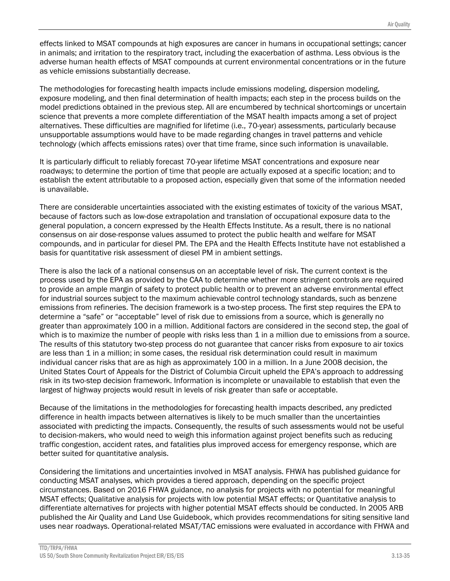effects linked to MSAT compounds at high exposures are cancer in humans in occupational settings; cancer in animals; and irritation to the respiratory tract, including the exacerbation of asthma. Less obvious is the adverse human health effects of MSAT compounds at current environmental concentrations or in the future as vehicle emissions substantially decrease.

The methodologies for forecasting health impacts include emissions modeling, dispersion modeling, exposure modeling, and then final determination of health impacts; each step in the process builds on the model predictions obtained in the previous step. All are encumbered by technical shortcomings or uncertain science that prevents a more complete differentiation of the MSAT health impacts among a set of project alternatives. These difficulties are magnified for lifetime (i.e., 70-year) assessments, particularly because unsupportable assumptions would have to be made regarding changes in travel patterns and vehicle technology (which affects emissions rates) over that time frame, since such information is unavailable.

It is particularly difficult to reliably forecast 70-year lifetime MSAT concentrations and exposure near roadways; to determine the portion of time that people are actually exposed at a specific location; and to establish the extent attributable to a proposed action, especially given that some of the information needed is unavailable.

There are considerable uncertainties associated with the existing estimates of toxicity of the various MSAT, because of factors such as low-dose extrapolation and translation of occupational exposure data to the general population, a concern expressed by the Health Effects Institute. As a result, there is no national consensus on air dose-response values assumed to protect the public health and welfare for MSAT compounds, and in particular for diesel PM. The EPA and the Health Effects Institute have not established a basis for quantitative risk assessment of diesel PM in ambient settings.

There is also the lack of a national consensus on an acceptable level of risk. The current context is the process used by the EPA as provided by the CAA to determine whether more stringent controls are required to provide an ample margin of safety to protect public health or to prevent an adverse environmental effect for industrial sources subject to the maximum achievable control technology standards, such as benzene emissions from refineries. The decision framework is a two-step process. The first step requires the EPA to determine a "safe" or "acceptable" level of risk due to emissions from a source, which is generally no greater than approximately 100 in a million. Additional factors are considered in the second step, the goal of which is to maximize the number of people with risks less than 1 in a million due to emissions from a source. The results of this statutory two-step process do not guarantee that cancer risks from exposure to air toxics are less than 1 in a million; in some cases, the residual risk determination could result in maximum individual cancer risks that are as high as approximately 100 in a million. In a June 2008 decision, the United States Court of Appeals for the District of Columbia Circuit upheld the EPA's approach to addressing risk in its two-step decision framework. Information is incomplete or unavailable to establish that even the largest of highway projects would result in levels of risk greater than safe or acceptable.

Because of the limitations in the methodologies for forecasting health impacts described, any predicted difference in health impacts between alternatives is likely to be much smaller than the uncertainties associated with predicting the impacts. Consequently, the results of such assessments would not be useful to decision-makers, who would need to weigh this information against project benefits such as reducing traffic congestion, accident rates, and fatalities plus improved access for emergency response, which are better suited for quantitative analysis.

Considering the limitations and uncertainties involved in MSAT analysis. FHWA has published guidance for conducting MSAT analyses, which provides a tiered approach, depending on the specific project circumstances. Based on 2016 FHWA guidance, no analysis for projects with no potential for meaningful MSAT effects; Qualitative analysis for projects with low potential MSAT effects; or Quantitative analysis to differentiate alternatives for projects with higher potential MSAT effects should be conducted. In 2005 ARB published the Air Quality and Land Use Guidebook, which provides recommendations for siting sensitive land uses near roadways. Operational-related MSAT/TAC emissions were evaluated in accordance with FHWA and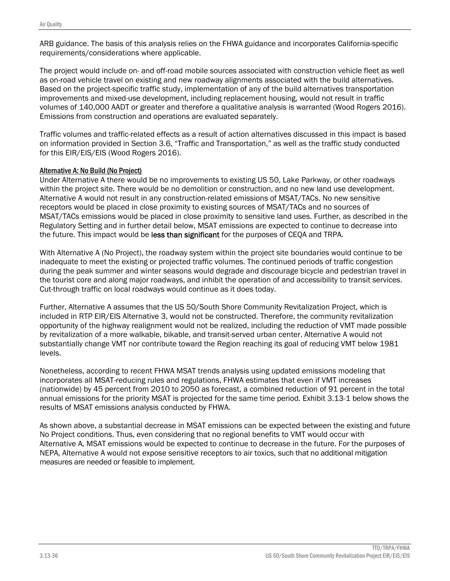ARB guidance. The basis of this analysis relies on the FHWA guidance and incorporates California-specific requirements/considerations where applicable.

The project would include on- and off-road mobile sources associated with construction vehicle fleet as well as on-road vehicle travel on existing and new roadway alignments associated with the build alternatives. Based on the project-specific traffic study, implementation of any of the build alternatives transportation improvements and mixed-use development, including replacement housing, would not result in traffic volumes of 140,000 AADT or greater and therefore a qualitative analysis is warranted (Wood Rogers 2016). Emissions from construction and operations are evaluated separately.

Traffic volumes and traffic-related effects as a result of action alternatives discussed in this impact is based on information provided in Section 3.6, "Traffic and Transportation," as well as the traffic study conducted for this EIR/EIS/EIS (Wood Rogers 2016).

#### Alternative A: No Build (No Project)

Under Alternative A there would be no improvements to existing US 50, Lake Parkway, or other roadways within the project site. There would be no demolition or construction, and no new land use development. Alternative A would not result in any construction-related emissions of MSAT/TACs. No new sensitive receptors would be placed in close proximity to existing sources of MSAT/TACs and no sources of MSAT/TACs emissions would be placed in close proximity to sensitive land uses. Further, as described in the Regulatory Setting and in further detail below, MSAT emissions are expected to continue to decrease into the future. This impact would be less than significant for the purposes of CEOA and TRPA.

With Alternative A (No Project), the roadway system within the project site boundaries would continue to be inadequate to meet the existing or projected traffic volumes. The continued periods of traffic congestion during the peak summer and winter seasons would degrade and discourage bicycle and pedestrian travel in the tourist core and along major roadways, and inhibit the operation of and accessibility to transit services. Cut-through traffic on local roadways would continue as it does today.

Further, Alternative A assumes that the US 50/South Shore Community Revitalization Project, which is included in RTP EIR/EIS Alternative 3, would not be constructed. Therefore, the community revitalization opportunity of the highway realignment would not be realized, including the reduction of VMT made possible by revitalization of a more walkable, bikable, and transit-served urban center. Alternative A would not substantially change VMT nor contribute toward the Region reaching its goal of reducing VMT below 1981 levels.

Nonetheless, according to recent FHWA MSAT trends analysis using updated emissions modeling that incorporates all MSAT-reducing rules and regulations, FHWA estimates that even if VMT increases (nationwide) by 45 percent from 2010 to 2050 as forecast, a combined reduction of 91 percent in the total annual emissions for the priority MSAT is projected for the same time period. Exhibit 3.13-1 below shows the results of MSAT emissions analysis conducted by FHWA.

As shown above, a substantial decrease in MSAT emissions can be expected between the existing and future No Project conditions. Thus, even considering that no regional benefits to VMT would occur with Alternative A, MSAT emissions would be expected to continue to decrease in the future. For the purposes of NEPA, Alternative A would not expose sensitive receptors to air toxics, such that no additional mitigation measures are needed or feasible to implement.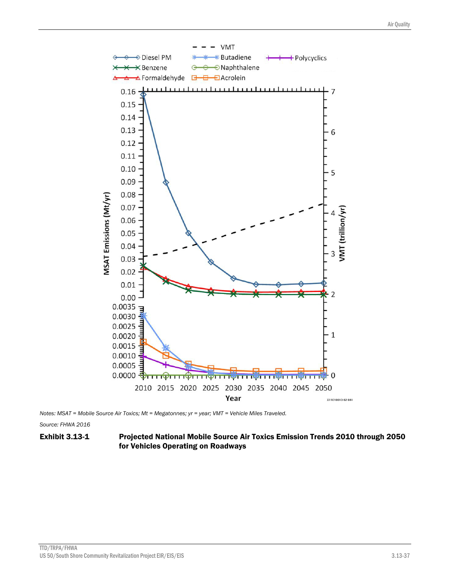

*Notes: MSAT = Mobile Source Air Toxics; Mt = Megatonnes; yr = year; VMT = Vehicle Miles Traveled.* 

*Source: FHWA 2016* 

#### Exhibit 3.13-1 Projected National Mobile Source Air Toxics Emission Trends 2010 through 2050 for Vehicles Operating on Roadways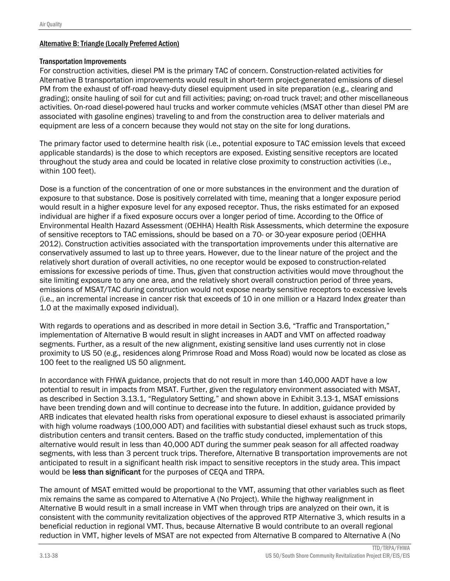#### Alternative B: Triangle (Locally Preferred Action)

#### Transportation Improvements

For construction activities, diesel PM is the primary TAC of concern. Construction-related activities for Alternative B transportation improvements would result in short-term project-generated emissions of diesel PM from the exhaust of off-road heavy-duty diesel equipment used in site preparation (e.g., clearing and grading); onsite hauling of soil for cut and fill activities; paving; on-road truck travel; and other miscellaneous activities. On-road diesel-powered haul trucks and worker commute vehicles (MSAT other than diesel PM are associated with gasoline engines) traveling to and from the construction area to deliver materials and equipment are less of a concern because they would not stay on the site for long durations.

The primary factor used to determine health risk (i.e., potential exposure to TAC emission levels that exceed applicable standards) is the dose to which receptors are exposed. Existing sensitive receptors are located throughout the study area and could be located in relative close proximity to construction activities (i.e., within 100 feet).

Dose is a function of the concentration of one or more substances in the environment and the duration of exposure to that substance. Dose is positively correlated with time, meaning that a longer exposure period would result in a higher exposure level for any exposed receptor. Thus, the risks estimated for an exposed individual are higher if a fixed exposure occurs over a longer period of time. According to the Office of Environmental Health Hazard Assessment (OEHHA) Health Risk Assessments, which determine the exposure of sensitive receptors to TAC emissions, should be based on a 70- or 30-year exposure period (OEHHA 2012). Construction activities associated with the transportation improvements under this alternative are conservatively assumed to last up to three years. However, due to the linear nature of the project and the relatively short duration of overall activities, no one receptor would be exposed to construction-related emissions for excessive periods of time. Thus, given that construction activities would move throughout the site limiting exposure to any one area, and the relatively short overall construction period of three years, emissions of MSAT/TAC during construction would not expose nearby sensitive receptors to excessive levels (i.e., an incremental increase in cancer risk that exceeds of 10 in one million or a Hazard Index greater than 1.0 at the maximally exposed individual).

With regards to operations and as described in more detail in Section 3.6, "Traffic and Transportation," implementation of Alternative B would result in slight increases in AADT and VMT on affected roadway segments. Further, as a result of the new alignment, existing sensitive land uses currently not in close proximity to US 50 (e.g., residences along Primrose Road and Moss Road) would now be located as close as 100 feet to the realigned US 50 alignment.

In accordance with FHWA guidance, projects that do not result in more than 140,000 AADT have a low potential to result in impacts from MSAT. Further, given the regulatory environment associated with MSAT, as described in Section 3.13.1, "Regulatory Setting," and shown above in Exhibit 3.13-1, MSAT emissions have been trending down and will continue to decrease into the future. In addition, guidance provided by ARB indicates that elevated health risks from operational exposure to diesel exhaust is associated primarily with high volume roadways (100,000 ADT) and facilities with substantial diesel exhaust such as truck stops, distribution centers and transit centers. Based on the traffic study conducted, implementation of this alternative would result in less than 40,000 ADT during the summer peak season for all affected roadway segments, with less than 3 percent truck trips. Therefore, Alternative B transportation improvements are not anticipated to result in a significant health risk impact to sensitive receptors in the study area. This impact would be less than significant for the purposes of CEQA and TRPA.

The amount of MSAT emitted would be proportional to the VMT, assuming that other variables such as fleet mix remains the same as compared to Alternative A (No Project). While the highway realignment in Alternative B would result in a small increase in VMT when through trips are analyzed on their own, it is consistent with the community revitalization objectives of the approved RTP Alternative 3, which results in a beneficial reduction in regional VMT. Thus, because Alternative B would contribute to an overall regional reduction in VMT, higher levels of MSAT are not expected from Alternative B compared to Alternative A (No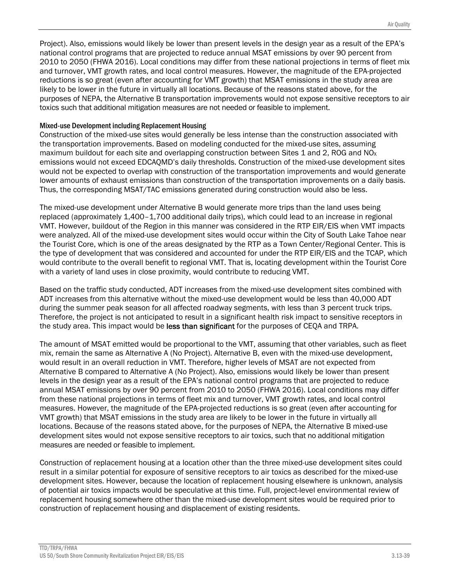Project). Also, emissions would likely be lower than present levels in the design year as a result of the EPA's national control programs that are projected to reduce annual MSAT emissions by over 90 percent from 2010 to 2050 (FHWA 2016). Local conditions may differ from these national projections in terms of fleet mix and turnover, VMT growth rates, and local control measures. However, the magnitude of the EPA-projected reductions is so great (even after accounting for VMT growth) that MSAT emissions in the study area are likely to be lower in the future in virtually all locations. Because of the reasons stated above, for the purposes of NEPA, the Alternative B transportation improvements would not expose sensitive receptors to air toxics such that additional mitigation measures are not needed or feasible to implement.

#### Mixed-use Development including Replacement Housing

Construction of the mixed-use sites would generally be less intense than the construction associated with the transportation improvements. Based on modeling conducted for the mixed-use sites, assuming maximum buildout for each site and overlapping construction between Sites 1 and 2, ROG and NO<sub>x</sub> emissions would not exceed EDCAQMD's daily thresholds. Construction of the mixed-use development sites would not be expected to overlap with construction of the transportation improvements and would generate lower amounts of exhaust emissions than construction of the transportation improvements on a daily basis. Thus, the corresponding MSAT/TAC emissions generated during construction would also be less.

The mixed-use development under Alternative B would generate more trips than the land uses being replaced (approximately 1,400–1,700 additional daily trips), which could lead to an increase in regional VMT. However, buildout of the Region in this manner was considered in the RTP EIR/EIS when VMT impacts were analyzed. All of the mixed-use development sites would occur within the City of South Lake Tahoe near the Tourist Core, which is one of the areas designated by the RTP as a Town Center/Regional Center. This is the type of development that was considered and accounted for under the RTP EIR/EIS and the TCAP, which would contribute to the overall benefit to regional VMT. That is, locating development within the Tourist Core with a variety of land uses in close proximity, would contribute to reducing VMT.

Based on the traffic study conducted, ADT increases from the mixed-use development sites combined with ADT increases from this alternative without the mixed-use development would be less than 40,000 ADT during the summer peak season for all affected roadway segments, with less than 3 percent truck trips. Therefore, the project is not anticipated to result in a significant health risk impact to sensitive receptors in the study area. This impact would be less than significant for the purposes of CEQA and TRPA.

The amount of MSAT emitted would be proportional to the VMT, assuming that other variables, such as fleet mix, remain the same as Alternative A (No Project). Alternative B, even with the mixed-use development, would result in an overall reduction in VMT. Therefore, higher levels of MSAT are not expected from Alternative B compared to Alternative A (No Project). Also, emissions would likely be lower than present levels in the design year as a result of the EPA's national control programs that are projected to reduce annual MSAT emissions by over 90 percent from 2010 to 2050 (FHWA 2016). Local conditions may differ from these national projections in terms of fleet mix and turnover, VMT growth rates, and local control measures. However, the magnitude of the EPA-projected reductions is so great (even after accounting for VMT growth) that MSAT emissions in the study area are likely to be lower in the future in virtually all locations. Because of the reasons stated above, for the purposes of NEPA, the Alternative B mixed-use development sites would not expose sensitive receptors to air toxics, such that no additional mitigation measures are needed or feasible to implement.

Construction of replacement housing at a location other than the three mixed-use development sites could result in a similar potential for exposure of sensitive receptors to air toxics as described for the mixed-use development sites. However, because the location of replacement housing elsewhere is unknown, analysis of potential air toxics impacts would be speculative at this time. Full, project-level environmental review of replacement housing somewhere other than the mixed-use development sites would be required prior to construction of replacement housing and displacement of existing residents.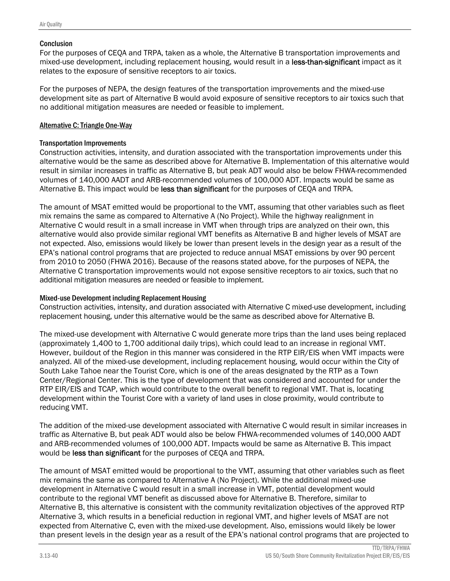#### **Conclusion**

For the purposes of CEQA and TRPA, taken as a whole, the Alternative B transportation improvements and mixed-use development, including replacement housing, would result in a less-than-significant impact as it relates to the exposure of sensitive receptors to air toxics.

For the purposes of NEPA, the design features of the transportation improvements and the mixed-use development site as part of Alternative B would avoid exposure of sensitive receptors to air toxics such that no additional mitigation measures are needed or feasible to implement.

#### Alternative C: Triangle One-Way

#### Transportation Improvements

Construction activities, intensity, and duration associated with the transportation improvements under this alternative would be the same as described above for Alternative B. Implementation of this alternative would result in similar increases in traffic as Alternative B, but peak ADT would also be below FHWA-recommended volumes of 140,000 AADT and ARB-recommended volumes of 100,000 ADT. Impacts would be same as Alternative B. This impact would be less than significant for the purposes of CEQA and TRPA.

The amount of MSAT emitted would be proportional to the VMT, assuming that other variables such as fleet mix remains the same as compared to Alternative A (No Project). While the highway realignment in Alternative C would result in a small increase in VMT when through trips are analyzed on their own, this alternative would also provide similar regional VMT benefits as Alternative B and higher levels of MSAT are not expected. Also, emissions would likely be lower than present levels in the design year as a result of the EPA's national control programs that are projected to reduce annual MSAT emissions by over 90 percent from 2010 to 2050 (FHWA 2016). Because of the reasons stated above, for the purposes of NEPA, the Alternative C transportation improvements would not expose sensitive receptors to air toxics, such that no additional mitigation measures are needed or feasible to implement.

#### Mixed-use Development including Replacement Housing

Construction activities, intensity, and duration associated with Alternative C mixed-use development, including replacement housing, under this alternative would be the same as described above for Alternative B.

The mixed-use development with Alternative C would generate more trips than the land uses being replaced (approximately 1,400 to 1,700 additional daily trips), which could lead to an increase in regional VMT. However, buildout of the Region in this manner was considered in the RTP EIR/EIS when VMT impacts were analyzed. All of the mixed-use development, including replacement housing, would occur within the City of South Lake Tahoe near the Tourist Core, which is one of the areas designated by the RTP as a Town Center/Regional Center. This is the type of development that was considered and accounted for under the RTP EIR/EIS and TCAP, which would contribute to the overall benefit to regional VMT. That is, locating development within the Tourist Core with a variety of land uses in close proximity, would contribute to reducing VMT.

The addition of the mixed-use development associated with Alternative C would result in similar increases in traffic as Alternative B, but peak ADT would also be below FHWA-recommended volumes of 140,000 AADT and ARB-recommended volumes of 100,000 ADT. Impacts would be same as Alternative B. This impact would be less than significant for the purposes of CEQA and TRPA.

The amount of MSAT emitted would be proportional to the VMT, assuming that other variables such as fleet mix remains the same as compared to Alternative A (No Project). While the additional mixed-use development in Alternative C would result in a small increase in VMT, potential development would contribute to the regional VMT benefit as discussed above for Alternative B. Therefore, similar to Alternative B, this alternative is consistent with the community revitalization objectives of the approved RTP Alternative 3, which results in a beneficial reduction in regional VMT, and higher levels of MSAT are not expected from Alternative C, even with the mixed-use development. Also, emissions would likely be lower than present levels in the design year as a result of the EPA's national control programs that are projected to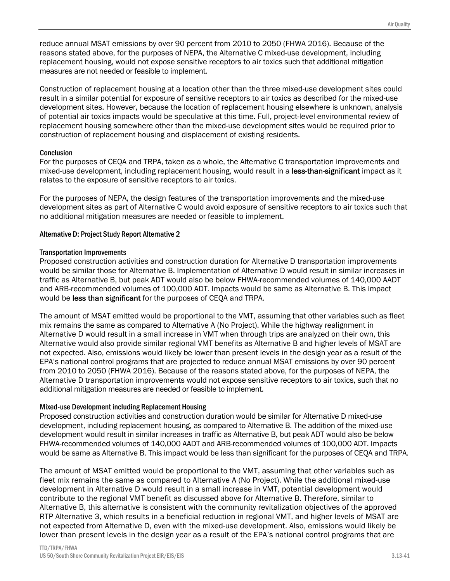reduce annual MSAT emissions by over 90 percent from 2010 to 2050 (FHWA 2016). Because of the reasons stated above, for the purposes of NEPA, the Alternative C mixed-use development, including replacement housing, would not expose sensitive receptors to air toxics such that additional mitigation measures are not needed or feasible to implement.

Construction of replacement housing at a location other than the three mixed-use development sites could result in a similar potential for exposure of sensitive receptors to air toxics as described for the mixed-use development sites. However, because the location of replacement housing elsewhere is unknown, analysis of potential air toxics impacts would be speculative at this time. Full, project-level environmental review of replacement housing somewhere other than the mixed-use development sites would be required prior to construction of replacement housing and displacement of existing residents.

#### **Conclusion**

For the purposes of CEQA and TRPA, taken as a whole, the Alternative C transportation improvements and mixed-use development, including replacement housing, would result in a less-than-significant impact as it relates to the exposure of sensitive receptors to air toxics.

For the purposes of NEPA, the design features of the transportation improvements and the mixed-use development sites as part of Alternative C would avoid exposure of sensitive receptors to air toxics such that no additional mitigation measures are needed or feasible to implement.

#### Alternative D: Project Study Report Alternative 2

#### Transportation Improvements

Proposed construction activities and construction duration for Alternative D transportation improvements would be similar those for Alternative B. Implementation of Alternative D would result in similar increases in traffic as Alternative B, but peak ADT would also be below FHWA-recommended volumes of 140,000 AADT and ARB-recommended volumes of 100,000 ADT. Impacts would be same as Alternative B. This impact would be less than significant for the purposes of CEQA and TRPA.

The amount of MSAT emitted would be proportional to the VMT, assuming that other variables such as fleet mix remains the same as compared to Alternative A (No Project). While the highway realignment in Alternative D would result in a small increase in VMT when through trips are analyzed on their own, this Alternative would also provide similar regional VMT benefits as Alternative B and higher levels of MSAT are not expected. Also, emissions would likely be lower than present levels in the design year as a result of the EPA's national control programs that are projected to reduce annual MSAT emissions by over 90 percent from 2010 to 2050 (FHWA 2016). Because of the reasons stated above, for the purposes of NEPA, the Alternative D transportation improvements would not expose sensitive receptors to air toxics, such that no additional mitigation measures are needed or feasible to implement.

#### Mixed-use Development including Replacement Housing

Proposed construction activities and construction duration would be similar for Alternative D mixed-use development, including replacement housing, as compared to Alternative B. The addition of the mixed-use development would result in similar increases in traffic as Alternative B, but peak ADT would also be below FHWA-recommended volumes of 140,000 AADT and ARB-recommended volumes of 100,000 ADT. Impacts would be same as Alternative B. This impact would be less than significant for the purposes of CEQA and TRPA.

The amount of MSAT emitted would be proportional to the VMT, assuming that other variables such as fleet mix remains the same as compared to Alternative A (No Project). While the additional mixed-use development in Alternative D would result in a small increase in VMT, potential development would contribute to the regional VMT benefit as discussed above for Alternative B. Therefore, similar to Alternative B, this alternative is consistent with the community revitalization objectives of the approved RTP Alternative 3, which results in a beneficial reduction in regional VMT, and higher levels of MSAT are not expected from Alternative D, even with the mixed-use development. Also, emissions would likely be lower than present levels in the design year as a result of the EPA's national control programs that are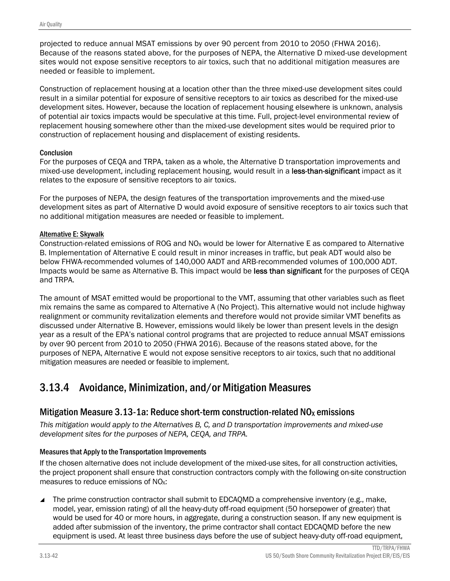projected to reduce annual MSAT emissions by over 90 percent from 2010 to 2050 (FHWA 2016). Because of the reasons stated above, for the purposes of NEPA, the Alternative D mixed-use development sites would not expose sensitive receptors to air toxics, such that no additional mitigation measures are needed or feasible to implement.

Construction of replacement housing at a location other than the three mixed-use development sites could result in a similar potential for exposure of sensitive receptors to air toxics as described for the mixed-use development sites. However, because the location of replacement housing elsewhere is unknown, analysis of potential air toxics impacts would be speculative at this time. Full, project-level environmental review of replacement housing somewhere other than the mixed-use development sites would be required prior to construction of replacement housing and displacement of existing residents.

#### **Conclusion**

For the purposes of CEQA and TRPA, taken as a whole, the Alternative D transportation improvements and mixed-use development, including replacement housing, would result in a less-than-significant impact as it relates to the exposure of sensitive receptors to air toxics.

For the purposes of NEPA, the design features of the transportation improvements and the mixed-use development sites as part of Alternative D would avoid exposure of sensitive receptors to air toxics such that no additional mitigation measures are needed or feasible to implement.

#### Alternative E: Skywalk

Construction-related emissions of ROG and NO<sub>X</sub> would be lower for Alternative E as compared to Alternative B. Implementation of Alternative E could result in minor increases in traffic, but peak ADT would also be below FHWA-recommended volumes of 140,000 AADT and ARB-recommended volumes of 100,000 ADT. Impacts would be same as Alternative B. This impact would be less than significant for the purposes of CEOA and TRPA.

The amount of MSAT emitted would be proportional to the VMT, assuming that other variables such as fleet mix remains the same as compared to Alternative A (No Project). This alternative would not include highway realignment or community revitalization elements and therefore would not provide similar VMT benefits as discussed under Alternative B. However, emissions would likely be lower than present levels in the design year as a result of the EPA's national control programs that are projected to reduce annual MSAT emissions by over 90 percent from 2010 to 2050 (FHWA 2016). Because of the reasons stated above, for the purposes of NEPA, Alternative E would not expose sensitive receptors to air toxics, such that no additional mitigation measures are needed or feasible to implement.

# 3.13.4 Avoidance, Minimization, and/or Mitigation Measures

## Mitigation Measure 3.13-1a: Reduce short-term construction-related  $NO<sub>x</sub>$  emissions

*This mitigation would apply to the Alternatives B, C, and D transportation improvements and mixed-use development sites for the purposes of NEPA, CEQA, and TRPA.* 

#### Measures that Apply to the Transportation Improvements

If the chosen alternative does not include development of the mixed-use sites, for all construction activities, the project proponent shall ensure that construction contractors comply with the following on-site construction measures to reduce emissions of NO<sub>x</sub>:

The prime construction contractor shall submit to EDCAQMD a comprehensive inventory (e.g., make, model, year, emission rating) of all the heavy-duty off-road equipment (50 horsepower of greater) that would be used for 40 or more hours, in aggregate, during a construction season. If any new equipment is added after submission of the inventory, the prime contractor shall contact EDCAQMD before the new equipment is used. At least three business days before the use of subject heavy-duty off-road equipment,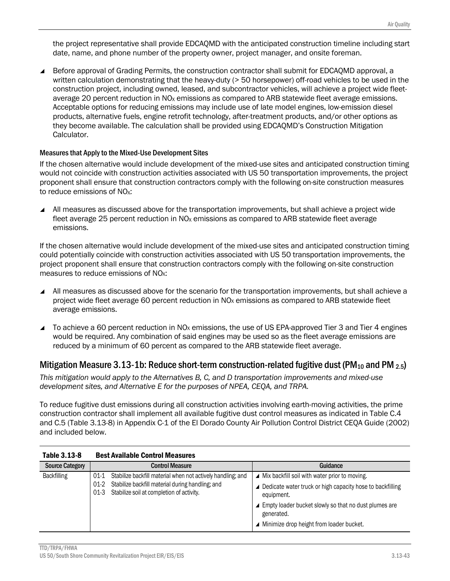the project representative shall provide EDCAQMD with the anticipated construction timeline including start date, name, and phone number of the property owner, project manager, and onsite foreman.

 Before approval of Grading Permits, the construction contractor shall submit for EDCAQMD approval, a written calculation demonstrating that the heavy-duty (> 50 horsepower) off-road vehicles to be used in the construction project, including owned, leased, and subcontractor vehicles, will achieve a project wide fleetaverage 20 percent reduction in  $NO<sub>X</sub>$  emissions as compared to ARB statewide fleet average emissions. Acceptable options for reducing emissions may include use of late model engines, low-emission diesel products, alternative fuels, engine retrofit technology, after-treatment products, and/or other options as they become available. The calculation shall be provided using EDCAQMD's Construction Mitigation Calculator.

#### Measures that Apply to the Mixed-Use Development Sites

If the chosen alternative would include development of the mixed-use sites and anticipated construction timing would not coincide with construction activities associated with US 50 transportation improvements, the project proponent shall ensure that construction contractors comply with the following on-site construction measures to reduce emissions of NO<sub>x</sub>:

 All measures as discussed above for the transportation improvements, but shall achieve a project wide fleet average 25 percent reduction in  $NO<sub>X</sub>$  emissions as compared to ARB statewide fleet average emissions.

If the chosen alternative would include development of the mixed-use sites and anticipated construction timing could potentially coincide with construction activities associated with US 50 transportation improvements, the project proponent shall ensure that construction contractors comply with the following on-site construction measures to reduce emissions of NO<sub>x</sub>:

- All measures as discussed above for the scenario for the transportation improvements, but shall achieve a project wide fleet average 60 percent reduction in NO<sub>x</sub> emissions as compared to ARB statewide fleet average emissions.
- To achieve a 60 percent reduction in  $NO<sub>X</sub>$  emissions, the use of US EPA-approved Tier 3 and Tier 4 engines would be required. Any combination of said engines may be used so as the fleet average emissions are reduced by a minimum of 60 percent as compared to the ARB statewide fleet average.

## Mitigation Measure 3.13-1b: Reduce short-term construction-related fugitive dust (PM<sub>10</sub> and PM  $_{2.5}$ )

*This mitigation would apply to the Alternatives B, C, and D transportation improvements and mixed-use development sites, and Alternative E for the purposes of NPEA, CEQA, and TRPA.* 

To reduce fugitive dust emissions during all construction activities involving earth-moving activities, the prime construction contractor shall implement all available fugitive dust control measures as indicated in Table C.4 and C.5 (Table 3.13-8) in Appendix C-1 of the El Dorado County Air Pollution Control District CEQA Guide (2002) and included below.

| <b>Table 3.13-8</b>    | <b>Best Available Control Measures</b>                                                                          |                                                                         |  |
|------------------------|-----------------------------------------------------------------------------------------------------------------|-------------------------------------------------------------------------|--|
| <b>Source Category</b> | Control Measure                                                                                                 | Guidance                                                                |  |
| <b>Backfilling</b>     | Stabilize backfill material when not actively handling; and<br>01-1                                             | Mix backfill soil with water prior to moving.<br>◢                      |  |
|                        | Stabilize backfill material during handling; and<br>$01-2$<br>Stabilize soil at completion of activity.<br>01-3 | Dedicate water truck or high capacity hose to backfilling<br>equipment. |  |
|                        |                                                                                                                 | ▲ Empty loader bucket slowly so that no dust plumes are<br>generated.   |  |
|                        |                                                                                                                 | Minimize drop height from loader bucket.                                |  |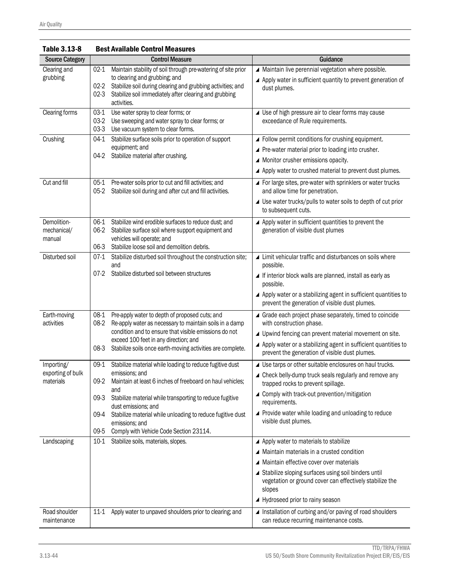| Table 3.13-8                                 | <b>Best Available Control Measures</b>                                                                                                                                                                                                                                                                                                                                                                 |                                                                                                                                                                                                                                                                                                                                                                      |  |
|----------------------------------------------|--------------------------------------------------------------------------------------------------------------------------------------------------------------------------------------------------------------------------------------------------------------------------------------------------------------------------------------------------------------------------------------------------------|----------------------------------------------------------------------------------------------------------------------------------------------------------------------------------------------------------------------------------------------------------------------------------------------------------------------------------------------------------------------|--|
| <b>Source Category</b>                       | <b>Control Measure</b>                                                                                                                                                                                                                                                                                                                                                                                 | Guidance                                                                                                                                                                                                                                                                                                                                                             |  |
| Clearing and<br>grubbing                     | Maintain stability of soil through pre-watering of site prior<br>02-1<br>to clearing and grubbing; and<br>$02 - 2$<br>Stabilize soil during clearing and grubbing activities; and<br>Stabilize soil immediately after clearing and grubbing<br>$02-3$<br>activities.                                                                                                                                   | ▲ Maintain live perennial vegetation where possible.<br>▲ Apply water in sufficient quantity to prevent generation of<br>dust plumes.                                                                                                                                                                                                                                |  |
| Clearing forms                               | $03-1$<br>Use water spray to clear forms; or<br>$03-2$<br>Use sweeping and water spray to clear forms; or<br>$03-3$<br>Use vacuum system to clear forms.                                                                                                                                                                                                                                               | ▲ Use of high pressure air to clear forms may cause<br>exceedance of Rule requirements.                                                                                                                                                                                                                                                                              |  |
| Crushing                                     | Stabilize surface soils prior to operation of support<br>$04-1$<br>equipment; and<br>Stabilize material after crushing.<br>04-2                                                                                                                                                                                                                                                                        | ▲ Follow permit conditions for crushing equipment.<br>▲ Pre-water material prior to loading into crusher.<br>▲ Monitor crusher emissions opacity.<br>▲ Apply water to crushed material to prevent dust plumes.                                                                                                                                                       |  |
| Cut and fill                                 | Pre-water soils prior to cut and fill activities; and<br>$05-1$<br>$05-2$<br>Stabilize soil during and after cut and fill activities.                                                                                                                                                                                                                                                                  | ▲ For large sites, pre-water with sprinklers or water trucks<br>and allow time for penetration.<br>▲ Use water trucks/pulls to water soils to depth of cut prior<br>to subsequent cuts.                                                                                                                                                                              |  |
| Demolition-<br>mechanical/<br>manual         | Stabilize wind erodible surfaces to reduce dust; and<br>06-1<br>06-2<br>Stabilize surface soil where support equipment and<br>vehicles will operate; and<br>06-3<br>Stabilize loose soil and demolition debris.                                                                                                                                                                                        | Apply water in sufficient quantities to prevent the<br>generation of visible dust plumes                                                                                                                                                                                                                                                                             |  |
| Disturbed soil                               | Stabilize disturbed soil throughout the construction site;<br>$07-1$<br>and<br>$07-2$<br>Stabilize disturbed soil between structures                                                                                                                                                                                                                                                                   | ▲ Limit vehicular traffic and disturbances on soils where<br>possible.<br>▲ If interior block walls are planned, install as early as<br>possible.<br>▲ Apply water or a stabilizing agent in sufficient quantities to<br>prevent the generation of visible dust plumes.                                                                                              |  |
| Earth-moving<br>activities                   | 08-1<br>Pre-apply water to depth of proposed cuts; and<br>08-2<br>Re-apply water as necessary to maintain soils in a damp<br>condition and to ensure that visible emissions do not<br>exceed 100 feet in any direction; and<br>Stabilize soils once earth-moving activities are complete.<br>08-3                                                                                                      | Grade each project phase separately, timed to coincide<br>with construction phase.<br>▲ Upwind fencing can prevent material movement on site.<br>▲ Apply water or a stabilizing agent in sufficient quantities to<br>prevent the generation of visible dust plumes.                                                                                                  |  |
| Importing/<br>exporting of bulk<br>materials | Stabilize material while loading to reduce fugitive dust<br>09-1<br>emissions; and<br>Maintain at least 6 inches of freeboard on haul vehicles;<br>09-2<br>and<br>$09-3$<br>Stabilize material while transporting to reduce fugitive<br>dust emissions; and<br>Stabilize material while unloading to reduce fugitive dust<br>09-4<br>emissions: and<br>09-5<br>Comply with Vehicle Code Section 23114. | ▲ Use tarps or other suitable enclosures on haul trucks.<br>▲ Check belly-dump truck seals regularly and remove any<br>trapped rocks to prevent spillage.<br>▲ Comply with track-out prevention/mitigation<br>requirements.<br>▲ Provide water while loading and unloading to reduce<br>visible dust plumes.                                                         |  |
| Landscaping<br>Road shoulder                 | 10-1 Stabilize soils, materials, slopes.<br>$11-1$<br>Apply water to unpaved shoulders prior to clearing; and                                                                                                                                                                                                                                                                                          | ▲ Apply water to materials to stabilize<br>▲ Maintain materials in a crusted condition<br>▲ Maintain effective cover over materials<br>▲ Stabilize sloping surfaces using soil binders until<br>vegetation or ground cover can effectively stabilize the<br>slopes<br>▲ Hydroseed prior to rainy season<br>▲ Installation of curbing and/or paving of road shoulders |  |
| maintenance                                  |                                                                                                                                                                                                                                                                                                                                                                                                        | can reduce recurring maintenance costs.                                                                                                                                                                                                                                                                                                                              |  |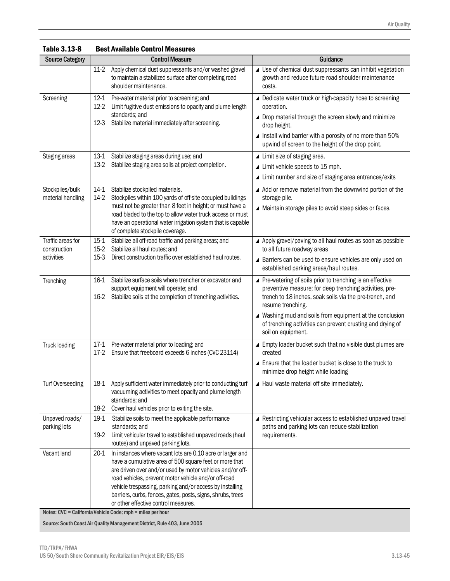| <b>Source Category</b>                          |                          | <b>Control Measure</b>                                                                                                                                                                                                                                                                                                                                                                                                                                                     | Guidance                                                                                                                                                                                                                                                                                                                                              |
|-------------------------------------------------|--------------------------|----------------------------------------------------------------------------------------------------------------------------------------------------------------------------------------------------------------------------------------------------------------------------------------------------------------------------------------------------------------------------------------------------------------------------------------------------------------------------|-------------------------------------------------------------------------------------------------------------------------------------------------------------------------------------------------------------------------------------------------------------------------------------------------------------------------------------------------------|
|                                                 | $11-2$                   | Apply chemical dust suppressants and/or washed gravel<br>to maintain a stabilized surface after completing road<br>shoulder maintenance.                                                                                                                                                                                                                                                                                                                                   | ▲ Use of chemical dust suppressants can inhibit vegetation<br>growth and reduce future road shoulder maintenance<br>costs.                                                                                                                                                                                                                            |
| Screening                                       | 12-1<br>$12-2$<br>$12-3$ | Pre-water material prior to screening; and<br>Limit fugitive dust emissions to opacity and plume length<br>standards; and<br>Stabilize material immediately after screening.                                                                                                                                                                                                                                                                                               | ▲ Dedicate water truck or high-capacity hose to screening<br>operation.<br>▲ Drop material through the screen slowly and minimize<br>drop height.<br>▲ Install wind barrier with a porosity of no more than 50%<br>upwind of screen to the height of the drop point.                                                                                  |
| Staging areas                                   | $13-1$<br>$13-2$         | Stabilize staging areas during use; and<br>Stabilize staging area soils at project completion.                                                                                                                                                                                                                                                                                                                                                                             | ▲ Limit size of staging area.<br>▲ Limit vehicle speeds to 15 mph.<br>▲ Limit number and size of staging area entrances/exits                                                                                                                                                                                                                         |
| Stockpiles/bulk<br>material handling            | $14-1$<br>14-2           | Stabilize stockpiled materials.<br>Stockpiles within 100 yards of off-site occupied buildings<br>must not be greater than 8 feet in height; or must have a<br>road bladed to the top to allow water truck access or must<br>have an operational water irrigation system that is capable<br>of complete stockpile coverage.                                                                                                                                                 | ▲ Add or remove material from the downwind portion of the<br>storage pile.<br>▲ Maintain storage piles to avoid steep sides or faces.                                                                                                                                                                                                                 |
| Traffic areas for<br>construction<br>activities | $15-1$<br>$15-3$         | Stabilize all off-road traffic and parking areas; and<br>15-2 Stabilize all haul routes; and<br>Direct construction traffic over established haul routes.                                                                                                                                                                                                                                                                                                                  | ▲ Apply gravel/paving to all haul routes as soon as possible<br>to all future roadway areas<br>▲ Barriers can be used to ensure vehicles are only used on<br>established parking areas/haul routes.                                                                                                                                                   |
| Trenching                                       | $16-1$<br>16-2           | Stabilize surface soils where trencher or excavator and<br>support equipment will operate; and<br>Stabilize soils at the completion of trenching activities.                                                                                                                                                                                                                                                                                                               | ▲ Pre-watering of soils prior to trenching is an effective<br>preventive measure; for deep trenching activities, pre-<br>trench to 18 inches, soak soils via the pre-trench, and<br>resume trenching.<br>▲ Washing mud and soils from equipment at the conclusion<br>of trenching activities can prevent crusting and drying of<br>soil on equipment. |
| Truck loading                                   | 17-1<br>$17-2$           | Pre-water material prior to loading; and<br>Ensure that freeboard exceeds 6 inches (CVC 23114)                                                                                                                                                                                                                                                                                                                                                                             | ▲ Empty loader bucket such that no visible dust plumes are<br>created<br>▲ Ensure that the loader bucket is close to the truck to<br>minimize drop height while loading                                                                                                                                                                               |
| Turf Overseeding                                | 18-1<br>18-2             | Apply sufficient water immediately prior to conducting turf<br>vacuuming activities to meet opacity and plume length<br>standards; and<br>Cover haul vehicles prior to exiting the site.                                                                                                                                                                                                                                                                                   | $\blacktriangle$ Haul waste material off site immediately.                                                                                                                                                                                                                                                                                            |
| Unpaved roads/<br>parking lots                  | 19-1<br>19-2             | Stabilize soils to meet the applicable performance<br>standards; and<br>Limit vehicular travel to established unpaved roads (haul<br>routes) and unpaved parking lots.                                                                                                                                                                                                                                                                                                     | ▲ Restricting vehicular access to established unpaved travel<br>paths and parking lots can reduce stabilization<br>requirements.                                                                                                                                                                                                                      |
| Vacant land                                     | $20-1$                   | In instances where vacant lots are 0.10 acre or larger and<br>have a cumulative area of 500 square feet or more that<br>are driven over and/or used by motor vehicles and/or off-<br>road vehicles, prevent motor vehicle and/or off-road<br>vehicle trespassing, parking and/or access by installing<br>barriers, curbs, fences, gates, posts, signs, shrubs, trees<br>or other effective control measures.<br>Notes: CVC = California Vehicle Code; mph = miles per hour |                                                                                                                                                                                                                                                                                                                                                       |

Table 3.13-8 Best Available Control Measures

Source: South Coast Air Quality Management District, Rule 403, June 2005